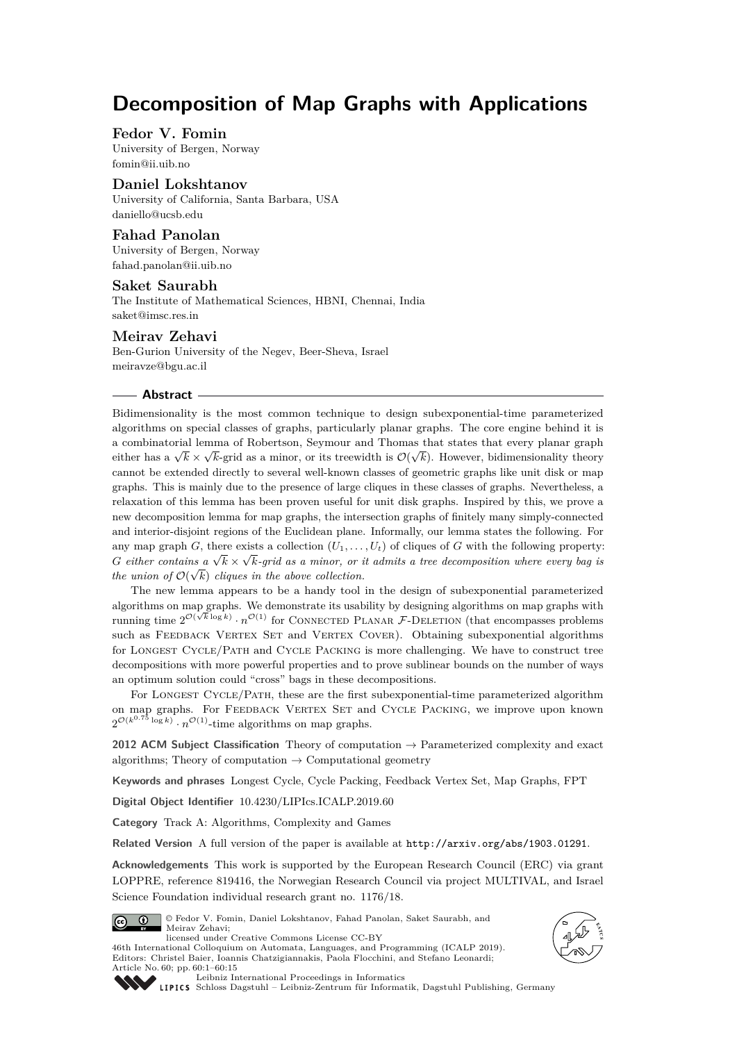# **Decomposition of Map Graphs with Applications**

## **Fedor V. Fomin**

University of Bergen, Norway [fomin@ii.uib.no](mailto:fomin@ii.uib.no)

## **Daniel Lokshtanov**

University of California, Santa Barbara, USA [daniello@ucsb.edu](mailto:daniello@ucsb.edu)

## **Fahad Panolan**

University of Bergen, Norway [fahad.panolan@ii.uib.no](mailto:fahad.panolan@ii.uib.no)

## **Saket Saurabh**

The Institute of Mathematical Sciences, HBNI, Chennai, India [saket@imsc.res.in](mailto:saket@imsc.res.in)

# **Meirav Zehavi**

Ben-Gurion University of the Negev, Beer-Sheva, Israel [meiravze@bgu.ac.il](mailto:meiravze@bgu.ac.il)

#### **Abstract**

Bidimensionality is the most common technique to design subexponential-time parameterized algorithms on special classes of graphs, particularly planar graphs. The core engine behind it is a combinatorial lemma of Robertson, Seymour and Thomas that states that every planar graph a combinational lemma of Robertson, seymour and Thomas that states that every planar graph either has a  $\sqrt{k} \times \sqrt{k}$ -grid as a minor, or its treewidth is  $\mathcal{O}(\sqrt{k})$ . However, bidimensionality theory cannot be extended directly to several well-known classes of geometric graphs like unit disk or map graphs. This is mainly due to the presence of large cliques in these classes of graphs. Nevertheless, a relaxation of this lemma has been proven useful for unit disk graphs. Inspired by this, we prove a new decomposition lemma for map graphs, the intersection graphs of finitely many simply-connected and interior-disjoint regions of the Euclidean plane. Informally, our lemma states the following. For any map graph *G*, there exists a collection  $(U_1, \ldots, U_t)$  of cliques of *G* with the following property: *G either contains a*  $\sqrt{k} \times \sqrt{k}$ *-grid as a minor, or it admits a tree decomposition where every bag is the union of*  $\mathcal{O}(\sqrt{k})$  *cliques in the above collection.* 

The new lemma appears to be a handy tool in the design of subexponential parameterized algorithms on map graphs. We demonstrate its usability by designing algorithms on map graphs with running time  $2^{\mathcal{O}(\sqrt{k}\log k)} \cdot n^{\mathcal{O}(1)}$  for CONNECTED PLANAR F-DELETION (that encompasses problems such as FEEDBACK VERTEX SET and VERTEX COVER). Obtaining subexponential algorithms for Longest Cycle/Path and Cycle Packing is more challenging. We have to construct tree decompositions with more powerful properties and to prove sublinear bounds on the number of ways an optimum solution could "cross" bags in these decompositions.

For LONGEST CYCLE/PATH, these are the first subexponential-time parameterized algorithm on map graphs. For Feedback Vertex Set and Cycle Packing, we improve upon known  $2^{\mathcal{O}(k^{0.75} \log k)} \cdot n^{\mathcal{O}(1)}$ -time algorithms on map graphs.

**2012 ACM Subject Classification** Theory of computation → Parameterized complexity and exact algorithms; Theory of computation  $\rightarrow$  Computational geometry

**Keywords and phrases** Longest Cycle, Cycle Packing, Feedback Vertex Set, Map Graphs, FPT

**Digital Object Identifier** [10.4230/LIPIcs.ICALP.2019.60](https://doi.org/10.4230/LIPIcs.ICALP.2019.60)

**Category** Track A: Algorithms, Complexity and Games

**Related Version** A full version of the paper is available at <http://arxiv.org/abs/1903.01291>.

**Acknowledgements** This work is supported by the European Research Council (ERC) via grant LOPPRE, reference 819416, the Norwegian Research Council via project MULTIVAL, and Israel Science Foundation individual research grant no. 1176/18.



© Fedor V. Fomin, Daniel Lokshtanov, Fahad Panolan, Saket Saurabh, and Meirav Zehavi; licensed under Creative Commons License CC-BY

46th International Colloquium on Automata, Languages, and Programming (ICALP 2019). Editors: Christel Baier, Ioannis Chatzigiannakis, Paola Flocchini, and Stefano Leonardi; Article No. 60; pp. 60:1–60[:15](#page-14-0)





[Leibniz International Proceedings in Informatics](https://www.dagstuhl.de/lipics/) [Schloss Dagstuhl – Leibniz-Zentrum für Informatik, Dagstuhl Publishing, Germany](https://www.dagstuhl.de)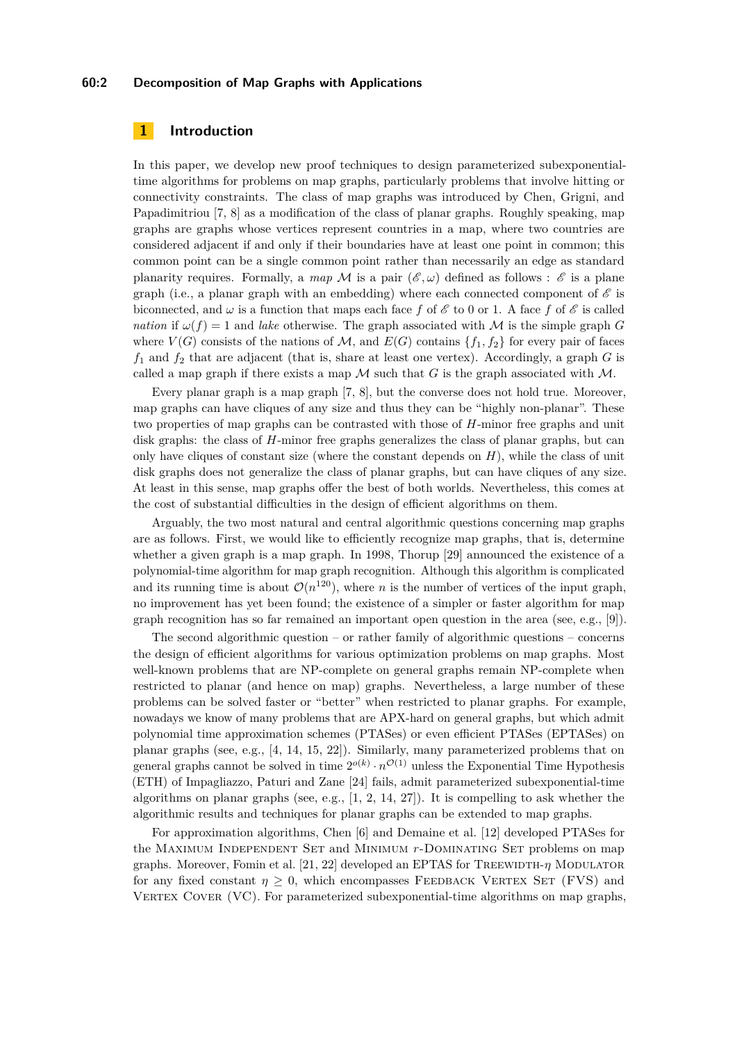## **60:2 Decomposition of Map Graphs with Applications**

## <span id="page-1-0"></span>**1 Introduction**

In this paper, we develop new proof techniques to design parameterized subexponentialtime algorithms for problems on map graphs, particularly problems that involve hitting or connectivity constraints. The class of map graphs was introduced by Chen, Grigni, and Papadimitriou [\[7,](#page-13-0) [8\]](#page-13-1) as a modification of the class of planar graphs. Roughly speaking, map graphs are graphs whose vertices represent countries in a map, where two countries are considered adjacent if and only if their boundaries have at least one point in common; this common point can be a single common point rather than necessarily an edge as standard planarity requires. Formally, a map M is a pair  $(\mathscr{E}, \omega)$  defined as follows :  $\mathscr{E}$  is a plane graph (i.e., a planar graph with an embedding) where each connected component of  $\mathscr E$  is biconnected, and  $\omega$  is a function that maps each face f of  $\mathscr E$  to 0 or 1. A face f of  $\mathscr E$  is called *nation* if  $\omega(f) = 1$  and *lake* otherwise. The graph associated with M is the simple graph *G* where  $V(G)$  consists of the nations of M, and  $E(G)$  contains  $\{f_1, f_2\}$  for every pair of faces  $f_1$  and  $f_2$  that are adjacent (that is, share at least one vertex). Accordingly, a graph  $G$  is called a map graph if there exists a map  $M$  such that  $G$  is the graph associated with  $M$ .

Every planar graph is a map graph [\[7,](#page-13-0) [8\]](#page-13-1), but the converse does not hold true. Moreover, map graphs can have cliques of any size and thus they can be "highly non-planar". These two properties of map graphs can be contrasted with those of *H*-minor free graphs and unit disk graphs: the class of *H*-minor free graphs generalizes the class of planar graphs, but can only have cliques of constant size (where the constant depends on *H*), while the class of unit disk graphs does not generalize the class of planar graphs, but can have cliques of any size. At least in this sense, map graphs offer the best of both worlds. Nevertheless, this comes at the cost of substantial difficulties in the design of efficient algorithms on them.

Arguably, the two most natural and central algorithmic questions concerning map graphs are as follows. First, we would like to efficiently recognize map graphs, that is, determine whether a given graph is a map graph. In 1998, Thorup [\[29\]](#page-14-1) announced the existence of a polynomial-time algorithm for map graph recognition. Although this algorithm is complicated and its running time is about  $\mathcal{O}(n^{120})$ , where *n* is the number of vertices of the input graph, no improvement has yet been found; the existence of a simpler or faster algorithm for map graph recognition has so far remained an important open question in the area (see, e.g., [\[9\]](#page-13-2)).

The second algorithmic question – or rather family of algorithmic questions – concerns the design of efficient algorithms for various optimization problems on map graphs. Most well-known problems that are NP-complete on general graphs remain NP-complete when restricted to planar (and hence on map) graphs. Nevertheless, a large number of these problems can be solved faster or "better" when restricted to planar graphs. For example, nowadays we know of many problems that are APX-hard on general graphs, but which admit polynomial time approximation schemes (PTASes) or even efficient PTASes (EPTASes) on planar graphs (see, e.g., [\[4,](#page-13-3) [14,](#page-13-4) [15,](#page-13-5) [22\]](#page-14-2)). Similarly, many parameterized problems that on general graphs cannot be solved in time  $2^{o(k)} \cdot n^{\mathcal{O}(1)}$  unless the Exponential Time Hypothesis (ETH) of Impagliazzo, Paturi and Zane [\[24\]](#page-14-3) fails, admit parameterized subexponential-time algorithms on planar graphs (see, e.g.,  $[1, 2, 14, 27]$  $[1, 2, 14, 27]$  $[1, 2, 14, 27]$  $[1, 2, 14, 27]$  $[1, 2, 14, 27]$  $[1, 2, 14, 27]$  $[1, 2, 14, 27]$ ). It is compelling to ask whether the algorithmic results and techniques for planar graphs can be extended to map graphs.

For approximation algorithms, Chen [\[6\]](#page-13-8) and Demaine et al. [\[12\]](#page-13-9) developed PTASes for the MAXIMUM INDEPENDENT SET and MINIMUM *r*-DOMINATING SET problems on map graphs. Moreover, Fomin et al. [\[21,](#page-14-5) [22\]](#page-14-2) developed an EPTAS for TREEWIDTH-*η* MODULATOR for any fixed constant  $\eta \geq 0$ , which encompasses FEEDBACK VERTEX SET (FVS) and VERTEX COVER (VC). For parameterized subexponential-time algorithms on map graphs,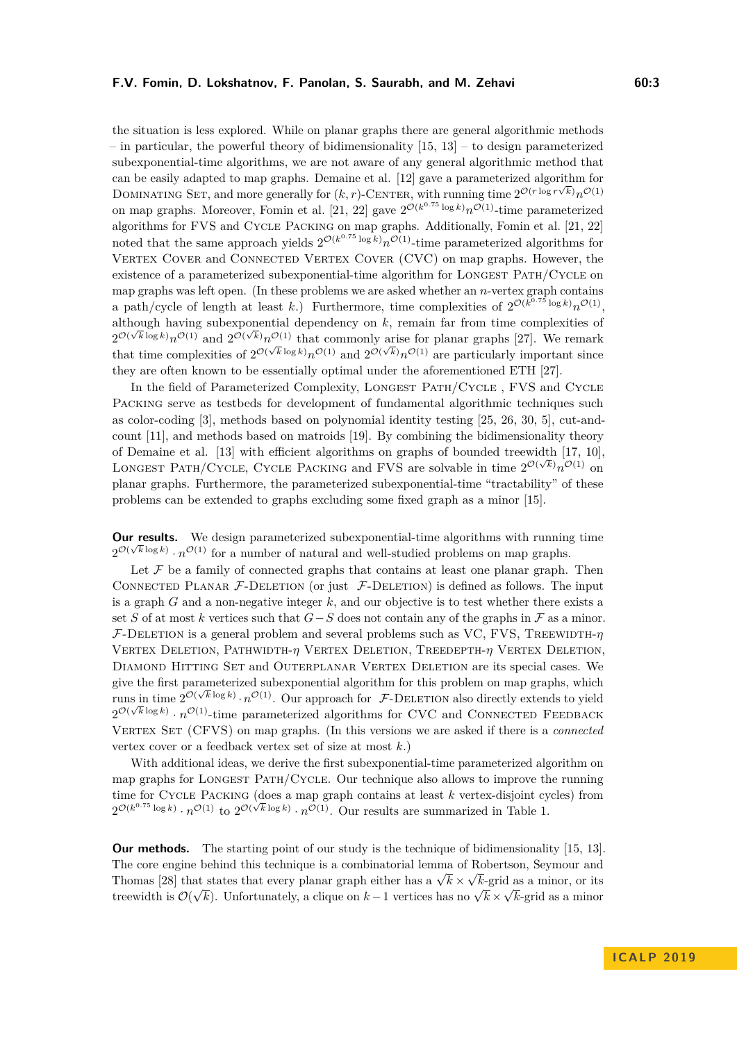the situation is less explored. While on planar graphs there are general algorithmic methods – in particular, the powerful theory of bidimensionality  $[15, 13]$  $[15, 13]$  $[15, 13]$  – to design parameterized subexponential-time algorithms, we are not aware of any general algorithmic method that can be easily adapted to map graphs. Demaine et al. [\[12\]](#page-13-9) gave a parameterized algorithm for √ DOMINATING SET, and more generally for  $(k, r)$ -CENTER, with running time  $2^{\mathcal{O}(r \log r \sqrt{k})} n^{\mathcal{O}(1)}$ on map graphs. Moreover, Fomin et al. [\[21,](#page-14-5) [22\]](#page-14-2) gave  $2^{\mathcal{O}(k^{0.75} \log k)} n^{\mathcal{O}(1)}$ -time parameterized algorithms for FVS and CYCLE PACKING on map graphs. Additionally, Fomin et al. [\[21,](#page-14-5) [22\]](#page-14-2) noted that the same approach yields  $2^{\mathcal{O}(k^{0.75} \log k)} n^{\mathcal{O}(1)}$ -time parameterized algorithms for VERTEX COVER and CONNECTED VERTEX COVER (CVC) on map graphs. However, the

existence of a parameterized subexponential-time algorithm for LONGEST PATH/CYCLE on map graphs was left open. (In these problems we are asked whether an *n*-vertex graph contains a path/cycle of length at least k.) Furthermore, time complexities of  $2^{\mathcal{O}(k^{0.75} \log k)} n^{\mathcal{O}(1)}$ , although having subexponential dependency on  $k$ , remain far from time complexities of  $2^{\mathcal{O}(\sqrt{k}\log k)}n^{\mathcal{O}(1)}$  and  $2^{\mathcal{O}(\sqrt{k})}n^{\mathcal{O}(1)}$  that commonly arise for planar graphs [\[27\]](#page-14-4). We remark that time complexities of  $2^{\mathcal{O}(\sqrt{k}\log k)}n^{\mathcal{O}(1)}$  and  $2^{\mathcal{O}(\sqrt{k}}n^{\mathcal{O}(1)}$  are particularly important since they are often known to be essentially optimal under the aforementioned ETH [\[27\]](#page-14-4).

In the field of Parameterized Complexity, LONGEST PATH/CYCLE, FVS and CYCLE Packing serve as testbeds for development of fundamental algorithmic techniques such as color-coding [\[3\]](#page-13-11), methods based on polynomial identity testing [\[25,](#page-14-6) [26,](#page-14-7) [30,](#page-14-8) [5\]](#page-13-12), cut-andcount [\[11\]](#page-13-13), and methods based on matroids [\[19\]](#page-14-9). By combining the bidimensionality theory of Demaine et al. [\[13\]](#page-13-10) with efficient algorithms on graphs of bounded treewidth [\[17,](#page-13-14) [10\]](#page-13-15), LONGEST PATH/CYCLE, CYCLE PACKING and FVS are solvable in time  $2^{\mathcal{O}(\sqrt{k})}n^{\mathcal{O}(1)}$  on planar graphs. Furthermore, the parameterized subexponential-time "tractability" of these problems can be extended to graphs excluding some fixed graph as a minor [\[15\]](#page-13-5).

**Our results.** We design parameterized subexponential-time algorithms with running time  $2^{\mathcal{O}(\sqrt{k}\log k)} \cdot n^{\mathcal{O}(1)}$  for a number of natural and well-studied problems on map graphs.

Let  $F$  be a family of connected graphs that contains at least one planar graph. Then CONNECTED PLANAR  $\mathcal{F}\text{-}\text{DELETION}$  (or just  $\mathcal{F}\text{-}\text{DELETION}$ ) is defined as follows. The input is a graph *G* and a non-negative integer *k*, and our objective is to test whether there exists a set *S* of at most *k* vertices such that  $G-S$  does not contain any of the graphs in  $\mathcal F$  as a minor.  $F$ -DELETION is a general problem and several problems such as VC, FVS, TREEWIDTH- $\eta$ Vertex Deletion, Pathwidth-*η* Vertex Deletion, Treedepth-*η* Vertex Deletion, Diamond Hitting Set and Outerplanar Vertex Deletion are its special cases. We give the first parameterized subexponential algorithm for this problem on map graphs, which runs in time  $2^{\mathcal{O}(\sqrt{k}\log k)} \cdot n^{\mathcal{O}(1)}$ . Our approach for  $\mathcal{F}\text{-}\text{DELETION}$  also directly extends to yield  $2^{\mathcal{O}(\sqrt{k}\log k)} \cdot n^{\mathcal{O}(1)}$ -time parameterized algorithms for CVC and CONNECTED FEEDBACK Vertex Set (CFVS) on map graphs. (In this versions we are asked if there is a *connected* vertex cover or a feedback vertex set of size at most *k*.)

With additional ideas, we derive the first subexponential-time parameterized algorithm on map graphs for Longest Path/Cycle. Our technique also allows to improve the running time for CYCLE PACKING (does a map graph contains at least  $k$  vertex-disjoint cycles) from  $2^{\mathcal{O}(k^{0.75} \log k)} \cdot n^{\mathcal{O}(1)}$  to  $2^{\mathcal{O}(\sqrt{k} \log k)} \cdot n^{\mathcal{O}(1)}$ . Our results are summarized in Table [1.](#page-3-0)

**Our methods.** The starting point of our study is the technique of bidimensionality [\[15,](#page-13-5) [13\]](#page-13-10). The core engine behind this technique is a combinatorial lemma of Robertson, Seymour and The core engine bening this technique is a combinational lemma of Thomas [\[28\]](#page-14-10) that states that every planar graph either has a  $\sqrt{k}$  × √ at states that every planar graph either has a  $\sqrt{k} \times \sqrt{k}$ -grid as a minor, or its treewidth is  $\mathcal{O}(\sqrt{k})$ . Unfortunately, a clique on *k* − 1 vertices has no  $\sqrt{k} \times \sqrt{k}$ -grid as a minor treewidth is  $\mathcal{O}(\sqrt{k})$ . Unfortunately, a clique on *k* − 1 vertices has no  $\sqrt{k} \times \sqrt{k}$ -grid as a minor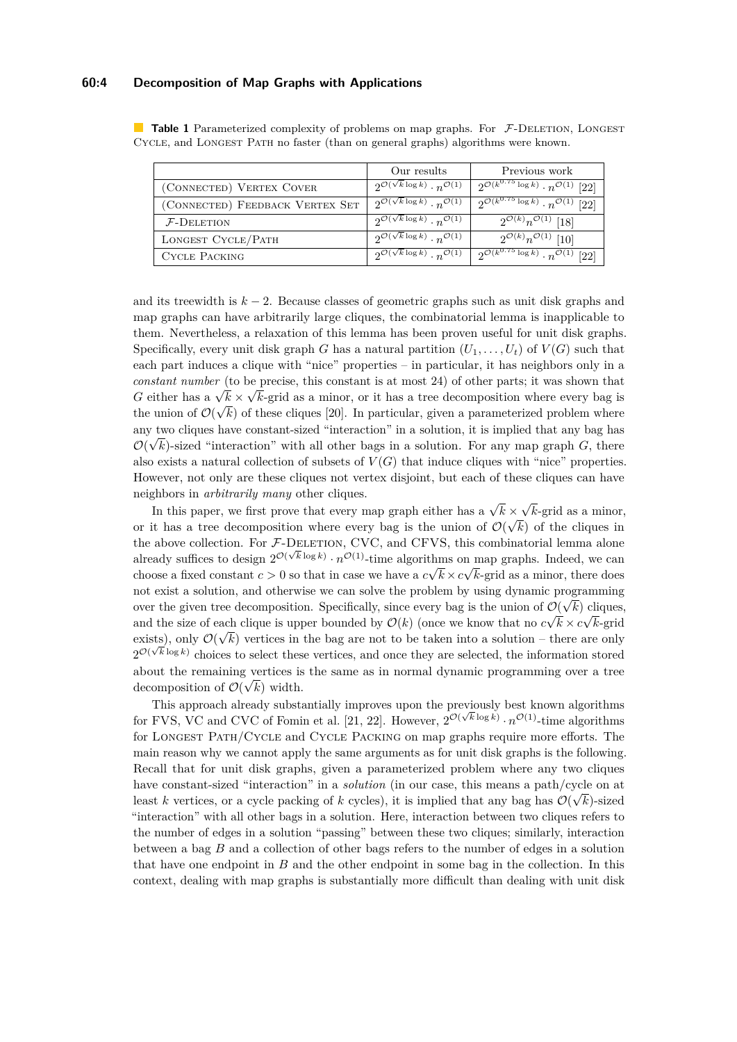#### **60:4 Decomposition of Map Graphs with Applications**

|                                 | Our results                                                       | Previous work                                                         |
|---------------------------------|-------------------------------------------------------------------|-----------------------------------------------------------------------|
| (CONNECTED) VERTEX COVER        | $2^{\mathcal{O}(\sqrt{k}\log k)}\cdot n^{\mathcal{O}(1)}$         | $\sqrt{2^{\mathcal{O}(k^{0.75}\log k)}\cdot n^{\mathcal{O}(1)}}$ [22] |
| (CONNECTED) FEEDBACK VERTEX SET | $2^{\mathcal{O}(\sqrt{k}\log k)}\cdot n^{\mathcal{O}(1)}$         | $2^{\mathcal{O}(k^{0.75}\log k)} \cdot n^{\mathcal{O}(1)}$ [22]       |
| $F$ -Deletion                   | $\sqrt{2^{\mathcal{O}(\sqrt{k}\log k)}\cdot n^{\mathcal{O}(1)}}$  | $2^{\mathcal{O}(k)}n^{\mathcal{O}(1)}$ [18]                           |
| LONGEST CYCLE/PATH              | $\sqrt{2^{\mathcal{O}(\sqrt{k}\log k)}} \cdot n^{\mathcal{O}(1)}$ | $2^{\mathcal{O}(k)}n^{\mathcal{O}(1)}$ [10]                           |
| <b>CYCLE PACKING</b>            | $\sqrt{2^{\mathcal{O}(\sqrt{k}\log k)}\cdot n^{\mathcal{O}(1)}}$  | $\sqrt{2^{\mathcal{O}(k^{0.75}\log k)}\cdot n^{\mathcal{O}(1)}}$ [22] |

<span id="page-3-0"></span>**Table 1** Parameterized complexity of problems on map graphs. For F-DELETION, LONGEST Cycle, and Longest Path no faster (than on general graphs) algorithms were known.

and its treewidth is *k* − 2. Because classes of geometric graphs such as unit disk graphs and map graphs can have arbitrarily large cliques, the combinatorial lemma is inapplicable to them. Nevertheless, a relaxation of this lemma has been proven useful for unit disk graphs. Specifically, every unit disk graph *G* has a natural partition  $(U_1, \ldots, U_t)$  of  $V(G)$  such that each part induces a clique with "nice" properties – in particular, it has neighbors only in a *constant number* (to be precise, this constant is at most 24) of other parts; it was shown that *G* either has a  $\sqrt{k} \times \sqrt{k}$ -grid as a minor, or it has a tree decomposition where every bag is the union of  $\mathcal{O}(\sqrt{k})$  of these cliques [\[20\]](#page-14-12). In particular, given a parameterized problem where any two cliques have constant-sized "interaction" in a solution, it is implied that any bag has  $\mathcal{O}(\sqrt{k})$ -sized "interaction" with all other bags in a solution. For any map graph *G*, there also exists a natural collection of subsets of  $V(G)$  that induce cliques with "nice" properties. However, not only are these cliques not vertex disjoint, but each of these cliques can have neighbors in *arbitrarily many* other cliques. √

In this paper, we first prove that every map graph either has a  $\sqrt{k}$  ×  $\times \sqrt{k}$ -grid as a minor, or it has a tree decomposition where every bag is the union of  $\mathcal{O}(\sqrt{k})$  of the cliques in the above collection. For  $\mathcal{F}\text{-}\mathrm{DELETION}$ , CVC, and CFVS, this combinatorial lemma alone already suffices to design  $2^{\mathcal{O}(\sqrt{k}\log k)} \cdot n^{\mathcal{O}(1)}$ -time algorithms on map graphs. Indeed, we can choose a fixed constant  $c > 0$  so that in case we have a  $c \sqrt{k} \times c \sqrt{k}$ -grid as a minor, there does not exist a solution, and otherwise we can solve the problem by using dynamic programming over the given tree decomposition. Specifically, since every bag is the union of  $\mathcal{O}(\sqrt{k})$  cliques, and the size of each clique is upper bounded by  $\mathcal{O}(k)$  (once we know that no  $c\sqrt{k} \times c\sqrt{k}$ -grid exists), only  $\mathcal{O}(\sqrt{k})$  vertices in the bag are not to be taken into a solution – there are only  $2^{\mathcal{O}(\sqrt{k}\log k)}$  choices to select these vertices, and once they are selected, the information stored about the remaining vertices is the same as in normal dynamic programming over a tree decomposition of  $\mathcal{O}(\sqrt{k})$  width.

This approach already substantially improves upon the previously best known algorithms for FVS, VC and CVC of Fomin et al. [\[21,](#page-14-5) [22\]](#page-14-2). However,  $2^{\mathcal{O}(\sqrt{k}\log k)} \cdot n^{\mathcal{O}(1)}$ -time algorithms for Longest Path/Cycle and Cycle Packing on map graphs require more efforts. The main reason why we cannot apply the same arguments as for unit disk graphs is the following. Recall that for unit disk graphs, given a parameterized problem where any two cliques have constant-sized "interaction" in a *solution* (in our case, this means a path/cycle on at least *k* vertices, or a cycle packing of *k* cycles), it is implied that any bag has  $\mathcal{O}(\sqrt{k})$ -sized "interaction" with all other bags in a solution. Here, interaction between two cliques refers to the number of edges in a solution "passing" between these two cliques; similarly, interaction between a bag *B* and a collection of other bags refers to the number of edges in a solution that have one endpoint in *B* and the other endpoint in some bag in the collection. In this context, dealing with map graphs is substantially more difficult than dealing with unit disk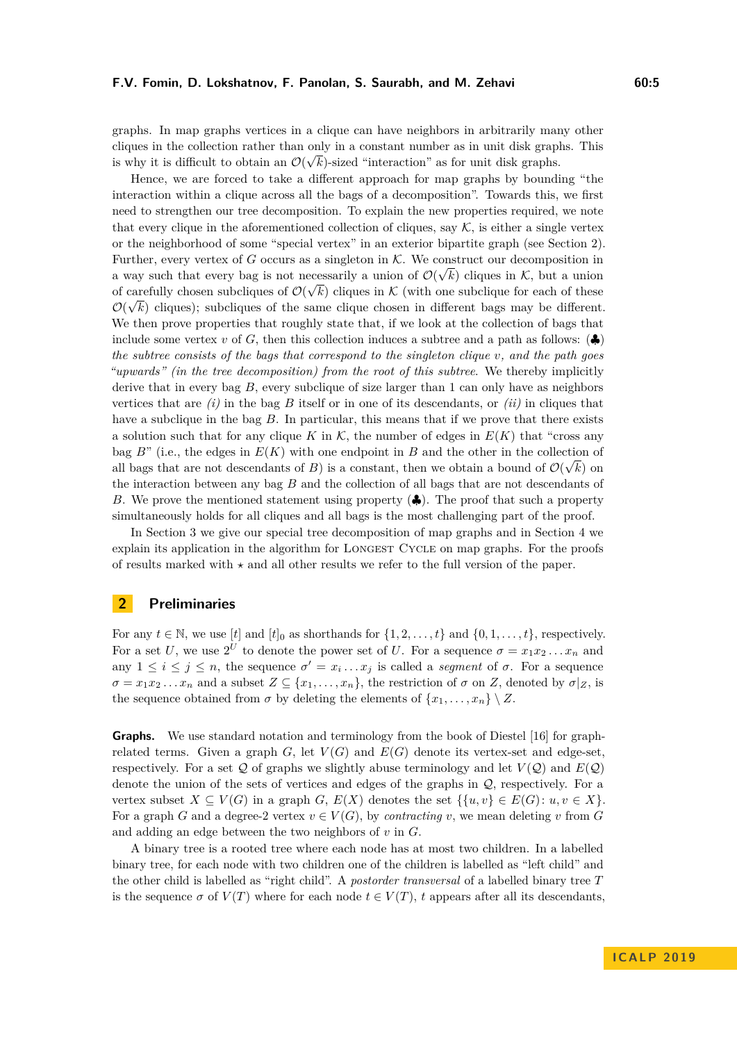graphs. In map graphs vertices in a clique can have neighbors in arbitrarily many other cliques in the collection rather than only in a constant number as in unit disk graphs. This is why it is difficult to obtain an  $\mathcal{O}(\sqrt{k})$ -sized "interaction" as for unit disk graphs.

Hence, we are forced to take a different approach for map graphs by bounding "the interaction within a clique across all the bags of a decomposition". Towards this, we first need to strengthen our tree decomposition. To explain the new properties required, we note that every clique in the aforementioned collection of cliques, say  $K$ , is either a single vertex or the neighborhood of some "special vertex" in an exterior bipartite graph (see Section [2\)](#page-4-0). Further, every vertex of *G* occurs as a singleton in  $K$ . We construct our decomposition in a way such that every bag is not necessarily a union of  $\mathcal{O}(\sqrt{k})$  cliques in K, but a union of carefully chosen subcliques of  $\mathcal{O}(\sqrt{k})$  cliques in K (with one subclique for each of these  $\mathcal{O}(\sqrt{k})$  cliques); subcliques of the same clique chosen in different bags may be different. We then prove properties that roughly state that, if we look at the collection of bags that include some vertex *v* of *G*, then this collection induces a subtree and a path as follows:  $\langle \clubsuit \rangle$ *the subtree consists of the bags that correspond to the singleton clique v, and the path goes "upwards" (in the tree decomposition) from the root of this subtree*. We thereby implicitly derive that in every bag  $B$ , every subclique of size larger than 1 can only have as neighbors vertices that are  $(i)$  in the bag  $B$  itself or in one of its descendants, or  $(ii)$  in cliques that have a subclique in the bag *B*. In particular, this means that if we prove that there exists a solution such that for any clique *K* in  $K$ , the number of edges in  $E(K)$  that "cross any bag  $B^{\prime\prime}$  (i.e., the edges in  $E(K)$  with one endpoint in *B* and the other in the collection of all bags that are not descendants of *B*) is a constant, then we obtain a bound of  $\mathcal{O}(\sqrt{k})$  on the interaction between any bag *B* and the collection of all bags that are not descendants of *B*. We prove the mentioned statement using property (♣). The proof that such a property simultaneously holds for all cliques and all bags is the most challenging part of the proof.

In Section [3](#page-6-0) we give our special tree decomposition of map graphs and in Section [4](#page-10-0) we explain its application in the algorithm for LONGEST CYCLE on map graphs. For the proofs of results marked with  $\star$  and all other results we refer to the full version of the paper.

# <span id="page-4-0"></span>**2 Preliminaries**

For any  $t \in \mathbb{N}$ , we use  $[t]$  and  $[t]_0$  as shorthands for  $\{1, 2, \ldots, t\}$  and  $\{0, 1, \ldots, t\}$ , respectively. For a set *U*, we use  $2^U$  to denote the power set of *U*. For a sequence  $\sigma = x_1 x_2 \dots x_n$  and any  $1 \leq i \leq j \leq n$ , the sequence  $\sigma' = x_i \dots x_j$  is called a *segment* of  $\sigma$ . For a sequence  $\sigma = x_1 x_2 \dots x_n$  and a subset  $Z \subseteq \{x_1, \dots, x_n\}$ , the restriction of  $\sigma$  on *Z*, denoted by  $\sigma|_Z$ , is the sequence obtained from  $\sigma$  by deleting the elements of  $\{x_1, \ldots, x_n\} \setminus Z$ .

**Graphs.** We use standard notation and terminology from the book of Diestel [\[16\]](#page-13-16) for graphrelated terms. Given a graph  $G$ , let  $V(G)$  and  $E(G)$  denote its vertex-set and edge-set, respectively. For a set  $Q$  of graphs we slightly abuse terminology and let  $V(Q)$  and  $E(Q)$ denote the union of the sets of vertices and edges of the graphs in Q, respectively. For a vertex subset  $X \subseteq V(G)$  in a graph *G*,  $E(X)$  denotes the set  $\{u, v\} \in E(G)$ :  $u, v \in X\}$ . For a graph *G* and a degree-2 vertex  $v \in V(G)$ , by *contracting v*, we mean deleting *v* from *G* and adding an edge between the two neighbors of *v* in *G*.

A binary tree is a rooted tree where each node has at most two children. In a labelled binary tree, for each node with two children one of the children is labelled as "left child" and the other child is labelled as "right child". A *postorder transversal* of a labelled binary tree *T* is the sequence  $\sigma$  of  $V(T)$  where for each node  $t \in V(T)$ , *t* appears after all its descendants,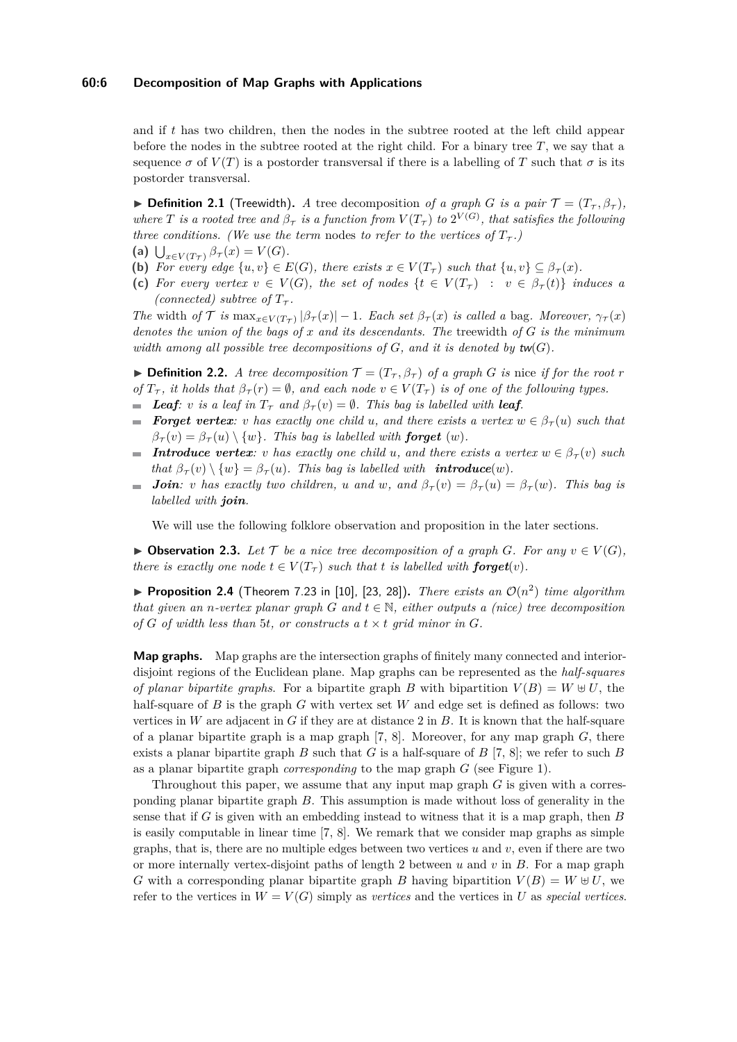#### **60:6 Decomposition of Map Graphs with Applications**

and if *t* has two children, then the nodes in the subtree rooted at the left child appear before the nodes in the subtree rooted at the right child. For a binary tree *T*, we say that a sequence  $\sigma$  of  $V(T)$  is a postorder transversal if there is a labelling of T such that  $\sigma$  is its postorder transversal.

 $\triangleright$  **Definition 2.1** (Treewidth). *A* tree decomposition *of a graph G is a pair*  $\mathcal{T} = (T_{\tau}, \beta_{\tau})$ *, where T is a rooted tree and*  $\beta_{\tau}$  *is a function from*  $V(T_{\tau})$  *to*  $2^{V(G)}$ *, that satisfies the following three conditions. (We use the term nodes to refer to the vertices of*  $T<sub>\tau</sub>$ .)

- **(a)**  $\bigcup_{x \in V(T)} \beta_{\tau}(x) = V(G)$ *.*
- **(b)** For every edge  $\{u, v\} \in E(G)$ , there exists  $x \in V(T_{\tau})$  such that  $\{u, v\} \subseteq \beta_{\tau}(x)$ .
- **(c)** For every vertex  $v \in V(G)$ , the set of nodes  $\{t \in V(T<sub>T</sub>) : v \in \beta<sub>T</sub>(t)\}\$  induces a *(connected) subtree of*  $T_{\tau}$ *.*

*The* width *of*  $\mathcal{T}$  *is*  $\max_{x \in V(T)} |\beta_{\tau}(x)| - 1$ *. Each set*  $\beta_{\tau}(x)$  *is called a* bag*. Moreover,*  $\gamma_{\tau}(x)$ *denotes the union of the bags of x and its descendants. The* treewidth *of G is the minimum width among all possible tree decompositions of*  $G$ *, and it is denoted by*  $\mathsf{tw}(G)$ *.* 

 $\blacktriangleright$  **Definition 2.2.** *A tree decomposition*  $\mathcal{T} = (T_{\tau}, \beta_{\tau})$  *of a graph G is* nice *if for the root r of*  $T_{\tau}$ , *it holds that*  $\beta_{\tau}(r) = \emptyset$ , *and each node*  $v \in V(T_{\tau})$  *is of one of the following types.* 

- *Leaf*: *v is a leaf in*  $T_{\tau}$  *and*  $\beta_{\tau}(v) = \emptyset$ *. This bag is labelled with leaf.*
- **Forget vertex**: *v* has exactly one child *u*, and there exists a vertex  $w \in \beta_{\tau}(u)$  such that  $\beta_{\tau}(v) = \beta_{\tau}(u) \setminus \{w\}$ . This bag is labelled with **forget** (w).
- **Introduce vertex**: *v* has exactly one child *u*, and there exists a vertex  $w \in \beta_{\tau}(v)$  such *that*  $\beta_{\tau}(v) \setminus \{w\} = \beta_{\tau}(u)$ *. This bag is labelled with <i>introduce*(w).
- *Join: v has exactly two children, u and w*, *and*  $\beta_{\tau}(v) = \beta_{\tau}(u) = \beta_{\tau}(w)$ *. This bag is*  $\overline{\phantom{a}}$ *labelled with join.*

We will use the following folklore observation and proposition in the later sections.

<span id="page-5-0"></span>▶ Observation 2.3. Let  $\mathcal{T}$  be a nice tree decomposition of a graph  $G$ *. For any*  $v \in V(G)$ , *there is exactly one node*  $t \in V(T_\tau)$  *such that t is labelled with forget(v).* 

<span id="page-5-1"></span>**Proposition 2.4** (Theorem 7.23 in [\[10\]](#page-13-15), [\[23,](#page-14-13) [28\]](#page-14-10)). *There exists an*  $\mathcal{O}(n^2)$  *time algorithm that given an n*-vertex planar graph G and  $t \in \mathbb{N}$ , either outputs a (nice) tree decomposition of  $G$  of width less than 5*t*, or constructs a  $t \times t$  grid minor in  $G$ *.* 

**Map graphs.** Map graphs are the intersection graphs of finitely many connected and interiordisjoint regions of the Euclidean plane. Map graphs can be represented as the *half-squares of planar bipartite graphs*. For a bipartite graph *B* with bipartition  $V(B) = W \oplus U$ , the half-square of *B* is the graph *G* with vertex set *W* and edge set is defined as follows: two vertices in *W* are adjacent in *G* if they are at distance 2 in *B*. It is known that the half-square of a planar bipartite graph is a map graph [\[7,](#page-13-0) [8\]](#page-13-1). Moreover, for any map graph *G*, there exists a planar bipartite graph *B* such that *G* is a half-square of *B* [\[7,](#page-13-0) [8\]](#page-13-1); we refer to such *B* as a planar bipartite graph *corresponding* to the map graph *G* (see Figure [1\)](#page-6-1).

Throughout this paper, we assume that any input map graph *G* is given with a corresponding planar bipartite graph *B*. This assumption is made without loss of generality in the sense that if *G* is given with an embedding instead to witness that it is a map graph, then *B* is easily computable in linear time [\[7,](#page-13-0) [8\]](#page-13-1). We remark that we consider map graphs as simple graphs, that is, there are no multiple edges between two vertices *u* and *v*, even if there are two or more internally vertex-disjoint paths of length 2 between *u* and *v* in *B*. For a map graph *G* with a corresponding planar bipartite graph *B* having bipartition  $V(B) = W \oplus U$ , we refer to the vertices in  $W = V(G)$  simply as *vertices* and the vertices in *U* as *special vertices*.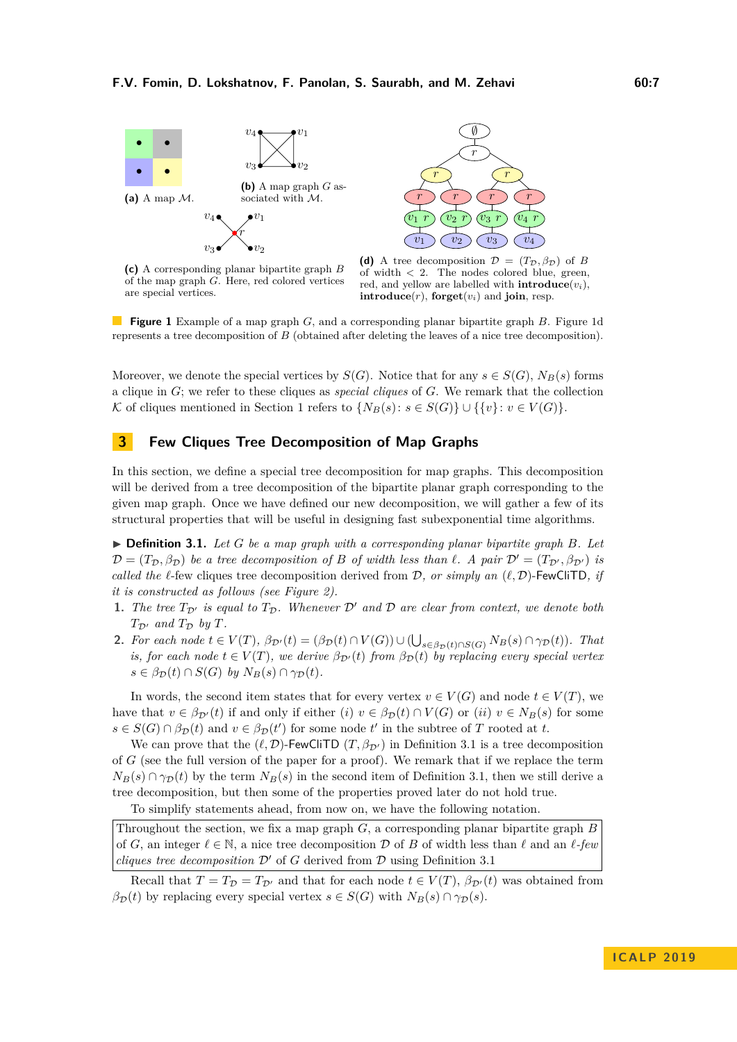<span id="page-6-1"></span>



**(c)** A corresponding planar bipartite graph *B* of the map graph *G*. Here, red colored vertices are special vertices.

**(d)** A tree decomposition  $\mathcal{D} = (T_{\mathcal{D}}, \beta_{\mathcal{D}})$  of *B* of width *<* 2. The nodes colored blue, green, red, and yellow are labelled with **introduce** $(v_i)$ , **introduce** $(r)$ , **forget** $(v_i)$  and **join**, resp.

**Figure 1** Example of a map graph *G*, and a corresponding planar bipartite graph *B*. Figure [1d](#page-6-1) represents a tree decomposition of *B* (obtained after deleting the leaves of a nice tree decomposition).

Moreover, we denote the special vertices by  $S(G)$ . Notice that for any  $s \in S(G)$ ,  $N_B(s)$  forms a clique in *G*; we refer to these cliques as *special cliques* of *G*. We remark that the collection K of cliques mentioned in Section [1](#page-1-0) refers to  $\{N_B(s): s \in S(G)\} \cup \{\{v\}: v \in V(G)\}.$ 

# <span id="page-6-0"></span>**3 Few Cliques Tree Decomposition of Map Graphs**

In this section, we define a special tree decomposition for map graphs. This decomposition will be derived from a tree decomposition of the bipartite planar graph corresponding to the given map graph. Once we have defined our new decomposition, we will gather a few of its structural properties that will be useful in designing fast subexponential time algorithms.

<span id="page-6-2"></span> $\triangleright$  **Definition 3.1.** Let G be a map graph with a corresponding planar bipartite graph B. Let  $\mathcal{D} = (T_{\mathcal{D}}, \beta_{\mathcal{D}})$  *be a tree decomposition of B of width less than*  $\ell$ *. A pair*  $\mathcal{D}' = (T_{\mathcal{D}'}, \beta_{\mathcal{D}'})$  *is called the*  $\ell$ -few cliques tree decomposition derived from D, or simply an  $(\ell, \mathcal{D})$ -FewCliTD, if *it is constructed as follows (see Figure [2\)](#page-8-0).*

- **1.** The tree  $T_{\mathcal{D}'}$  is equal to  $T_{\mathcal{D}}$ . Whenever  $\mathcal{D}'$  and  $\mathcal{D}$  are clear from context, we denote both  $T_{\mathcal{D}}$  *and*  $T_{\mathcal{D}}$  *by*  $T$ *.*
- **2.** For each node  $t \in V(T)$ ,  $\beta_{\mathcal{D}'}(t) = (\beta_{\mathcal{D}}(t) \cap V(G)) \cup (\bigcup_{s \in \beta_{\mathcal{D}}(t) \cap S(G)} N_B(s) \cap \gamma_{\mathcal{D}}(t))$ . That *is, for each node*  $t \in V(T)$ *, we derive*  $\beta_{\mathcal{D}'}(t)$  *from*  $\beta_{\mathcal{D}}(t)$  *by replacing every special vertex*  $s \in \beta_{\mathcal{D}}(t) \cap S(G)$  *by*  $N_B(s) \cap \gamma_{\mathcal{D}}(t)$ .

In words, the second item states that for every vertex  $v \in V(G)$  and node  $t \in V(T)$ , we have that  $v \in \beta_{\mathcal{D}'}(t)$  if and only if either (*i*)  $v \in \beta_{\mathcal{D}}(t) \cap V(G)$  or (*ii*)  $v \in N_B(s)$  for some  $s \in S(G) \cap \beta_{\mathcal{D}}(t)$  and  $v \in \beta_{\mathcal{D}}(t')$  for some node  $t'$  in the subtree of *T* rooted at *t*.

We can prove that the  $(\ell, \mathcal{D})$ -FewCliTD  $(T, \beta_{\mathcal{D}'})$  in Definition [3.1](#page-6-2) is a tree decomposition of *G* (see the full version of the paper for a proof). We remark that if we replace the term  $N_B(s) \cap \gamma_{\mathcal{D}}(t)$  by the term  $N_B(s)$  in the second item of Definition [3.1,](#page-6-2) then we still derive a tree decomposition, but then some of the properties proved later do not hold true.

To simplify statements ahead, from now on, we have the following notation.

Throughout the section, we fix a map graph *G*, a corresponding planar bipartite graph *B* of *G*, an integer  $\ell \in \mathbb{N}$ , a nice tree decomposition D of *B* of width less than  $\ell$  and an  $\ell$ -few *cliques tree decomposition*  $\mathcal{D}'$  of *G* derived from  $\mathcal{D}$  using Definition [3.1](#page-6-2)

Recall that  $T = T_{\mathcal{D}} = T_{\mathcal{D}}$  and that for each node  $t \in V(T)$ ,  $\beta_{\mathcal{D}'}(t)$  was obtained from  $\beta_{\mathcal{D}}(t)$  by replacing every special vertex  $s \in S(G)$  with  $N_B(s) \cap \gamma_{\mathcal{D}}(s)$ .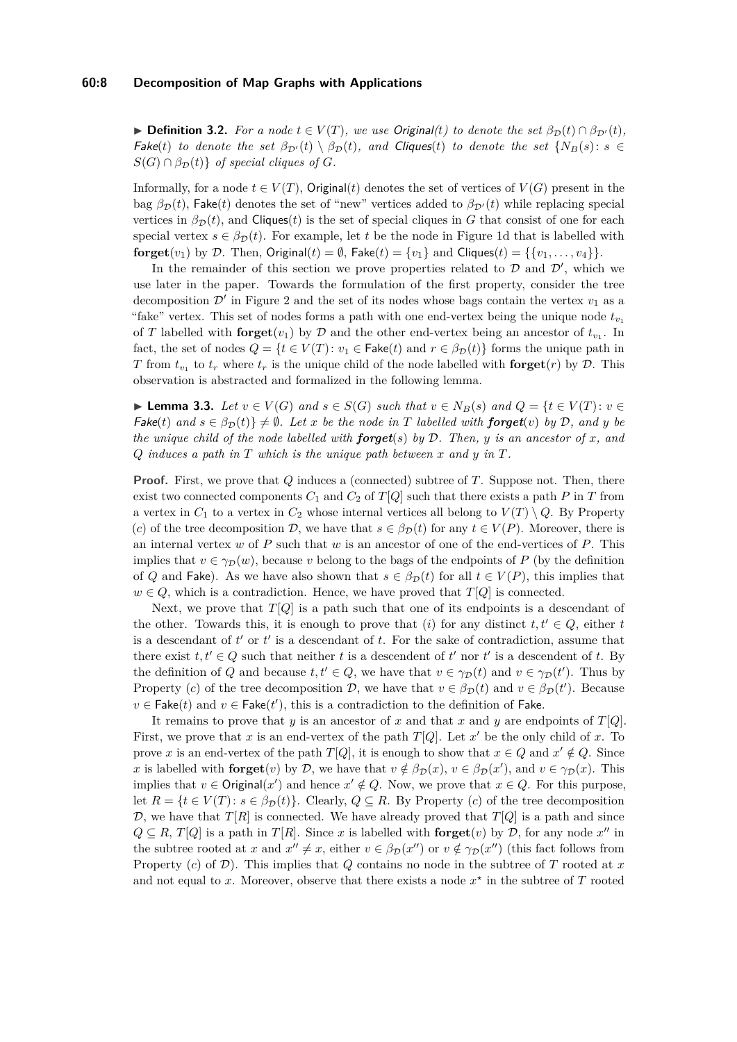#### **60:8 Decomposition of Map Graphs with Applications**

**► Definition 3.2.** For a node  $t \in V(T)$ , we use Original(*t*) to denote the set  $\beta_{\mathcal{D}}(t) \cap \beta_{\mathcal{D}'}(t)$ ,  $\mathsf{Fake}(t)$  *to denote the set*  $\beta_{\mathcal{D}'}(t) \setminus \beta_{\mathcal{D}}(t)$ , and Cliques(*t*) *to denote the set*  $\{N_B(s): s \in \mathcal{D}\}$  $S(G) \cap \beta_{\mathcal{D}}(t)$  *of special cliques of G.* 

Informally, for a node  $t \in V(T)$ , Original(*t*) denotes the set of vertices of  $V(G)$  present in the bag  $\beta_{\mathcal{D}}(t)$ , Fake(*t*) denotes the set of "new" vertices added to  $\beta_{\mathcal{D}'}(t)$  while replacing special vertices in  $\beta_{\mathcal{D}}(t)$ , and Cliques(*t*) is the set of special cliques in *G* that consist of one for each special vertex  $s \in \beta_{\mathcal{D}}(t)$ . For example, let *t* be the node in Figure [1d](#page-6-1) that is labelled with **forget** $(v_1)$  by D. Then, Original $(t) = \emptyset$ , Fake $(t) = \{v_1\}$  and Cliques $(t) = \{\{v_1, \ldots, v_4\}\}.$ 

In the remainder of this section we prove properties related to  $D$  and  $D'$ , which we use later in the paper. Towards the formulation of the first property, consider the tree decomposition  $\mathcal{D}'$  in Figure [2](#page-8-0) and the set of its nodes whose bags contain the vertex  $v_1$  as a "fake" vertex. This set of nodes forms a path with one end-vertex being the unique node  $t_{v_1}$ of *T* labelled with  $\textbf{forget}(v_1)$  by *D* and the other end-vertex being an ancestor of  $t_{v_1}$ . In fact, the set of nodes  $Q = \{t \in V(T): v_1 \in \mathsf{Fake}(t) \text{ and } r \in \beta_{\mathcal{D}}(t)\}$  forms the unique path in *T* from  $t_{v_1}$  to  $t_r$  where  $t_r$  is the unique child of the node labelled with **forget** $(r)$  by  $\mathcal{D}$ . This observation is abstracted and formalized in the following lemma.

<span id="page-7-0"></span>► **Lemma 3.3.** *Let*  $v \in V(G)$  *and*  $s \in S(G)$  *such that*  $v \in N_B(s)$  *and*  $Q = \{t \in V(T) : v \in V(G) \}$  $\mathcal{F}_0^{\mathcal{A}}(t)$  and  $s \in \beta_{\mathcal{D}}(t) \} \neq \emptyset$ . Let x be the node in T labelled with **forget**(*v*) by D, and y be *the unique child of the node labelled with forget*(*s*) *by* D*. Then, y is an ancestor of x, and Q induces a path in T which is the unique path between x and y in T.*

**Proof.** First, we prove that *Q* induces a (connected) subtree of *T*. Suppose not. Then, there exist two connected components  $C_1$  and  $C_2$  of  $T[Q]$  such that there exists a path P in T from a vertex in  $C_1$  to a vertex in  $C_2$  whose internal vertices all belong to  $V(T) \setminus Q$ . By Property (*c*) of the tree decomposition D, we have that  $s \in \beta_{\mathcal{D}}(t)$  for any  $t \in V(P)$ . Moreover, there is an internal vertex *w* of *P* such that *w* is an ancestor of one of the end-vertices of *P*. This implies that  $v \in \gamma_D(w)$ , because *v* belong to the bags of the endpoints of *P* (by the definition of *Q* and Fake). As we have also shown that  $s \in \beta_{\mathcal{D}}(t)$  for all  $t \in V(P)$ , this implies that  $w \in Q$ , which is a contradiction. Hence, we have proved that  $T[Q]$  is connected.

Next, we prove that  $T[Q]$  is a path such that one of its endpoints is a descendant of the other. Towards this, it is enough to prove that  $(i)$  for any distinct  $t, t' \in Q$ , either *t* is a descendant of  $t'$  or  $t'$  is a descendant of  $t$ . For the sake of contradiction, assume that there exist  $t, t' \in Q$  such that neither *t* is a descendent of *t'* nor *t'* is a descendent of *t*. By the definition of *Q* and because  $t, t' \in Q$ , we have that  $v \in \gamma_{\mathcal{D}}(t)$  and  $v \in \gamma_{\mathcal{D}}(t')$ . Thus by Property (*c*) of the tree decomposition  $D$ , we have that  $v \in \beta_{\mathcal{D}}(t)$  and  $v \in \beta_{\mathcal{D}}(t')$ . Because  $v \in \mathsf{Fake}(t)$  and  $v \in \mathsf{Fake}(t')$ , this is a contradiction to the definition of Fake.

It remains to prove that *y* is an ancestor of *x* and that *x* and *y* are endpoints of *T*[*Q*]. First, we prove that x is an end-vertex of the path  $T[Q]$ . Let  $x'$  be the only child of x. To prove *x* is an end-vertex of the path *T*[*Q*], it is enough to show that  $x \in Q$  and  $x' \notin Q$ . Since *x* is labelled with **forget** $(v)$  by  $D$ , we have that  $v \notin \beta_D(x)$ ,  $v \in \beta_D(x')$ , and  $v \in \gamma_D(x)$ . This implies that  $v \in \text{Original}(x')$  and hence  $x' \notin Q$ . Now, we prove that  $x \in Q$ . For this purpose, let  $R = \{t \in V(T) : s \in \beta_{\mathcal{D}}(t)\}\)$ . Clearly,  $Q \subseteq R$ . By Property (*c*) of the tree decomposition  $\mathcal{D}$ , we have that  $T[R]$  is connected. We have already proved that  $T[Q]$  is a path and since  $Q \subseteq R$ , *T*[*Q*] is a path in *T*[*R*]. Since *x* is labelled with **forget**(*v*) by *D*, for any node *x*<sup>"</sup> in the subtree rooted at *x* and  $x'' \neq x$ , either  $v \in \beta_{\mathcal{D}}(x'')$  or  $v \notin \gamma_{\mathcal{D}}(x'')$  (this fact follows from Property (*c*) of D). This implies that *Q* contains no node in the subtree of *T* rooted at *x* and not equal to x. Moreover, observe that there exists a node  $x^*$  in the subtree of  $T$  rooted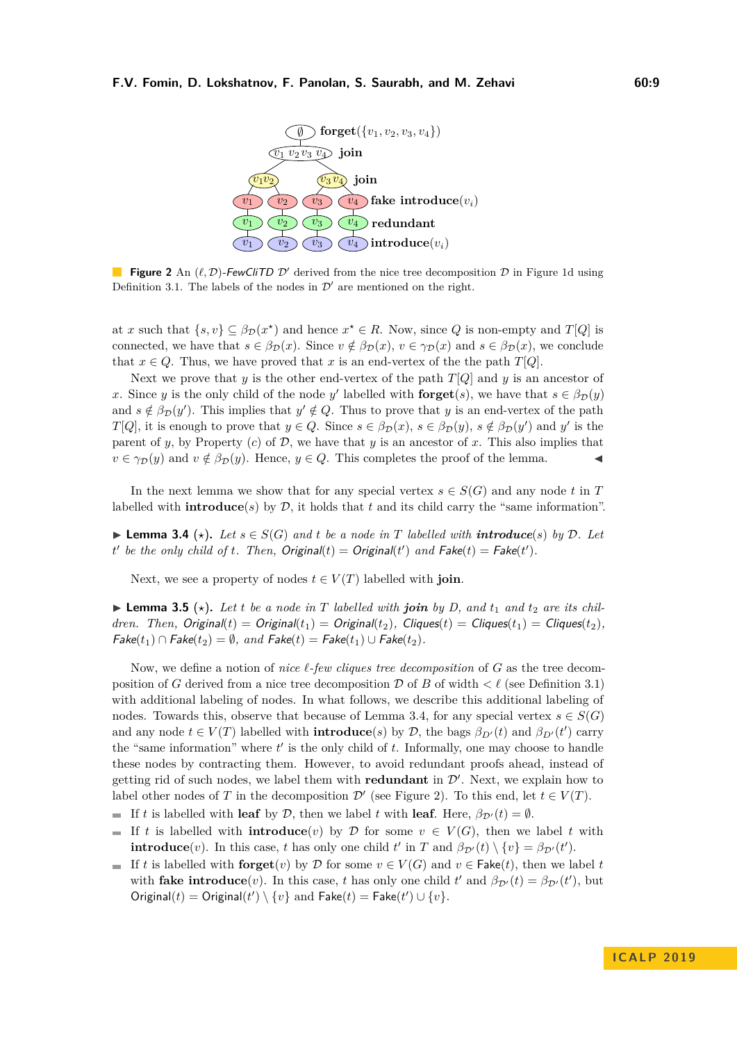<span id="page-8-0"></span>

**Figure 2** An  $(\ell, \mathcal{D})$ -FewCliTD  $\mathcal{D}'$  derived from the nice tree decomposition  $\mathcal{D}$  in Figure [1d](#page-6-1) using Definition [3.1.](#page-6-2) The labels of the nodes in  $\mathcal{D}'$  are mentioned on the right.

at *x* such that  $\{s, v\} \subseteq \beta_{\mathcal{D}}(x^*)$  and hence  $x^* \in R$ . Now, since *Q* is non-empty and *T*[*Q*] is connected, we have that  $s \in \beta_{\mathcal{D}}(x)$ . Since  $v \notin \beta_{\mathcal{D}}(x)$ ,  $v \in \gamma_{\mathcal{D}}(x)$  and  $s \in \beta_{\mathcal{D}}(x)$ , we conclude that  $x \in Q$ . Thus, we have proved that *x* is an end-vertex of the the path *T*[*Q*].

Next we prove that *y* is the other end-vertex of the path  $T[Q]$  and *y* is an ancestor of x. Since *y* is the only child of the node *y*' labelled with **forget**(*s*), we have that  $s \in \beta_{\mathcal{D}}(y)$ and  $s \notin \beta_{\mathcal{D}}(y')$ . This implies that  $y' \notin Q$ . Thus to prove that *y* is an end-vertex of the path *T*[*Q*], it is enough to prove that  $y \in Q$ . Since  $s \in \beta_{\mathcal{D}}(x)$ ,  $s \in \beta_{\mathcal{D}}(y)$ ,  $s \notin \beta_{\mathcal{D}}(y')$  and *y'* is the parent of *y*, by Property  $(c)$  of  $D$ , we have that *y* is an ancestor of *x*. This also implies that  $v \in \gamma_D(y)$  and  $v \notin \beta_D(y)$ . Hence,  $y \in Q$ . This completes the proof of the lemma.

In the next lemma we show that for any special vertex  $s \in S(G)$  and any node *t* in *T* labelled with **introduce** $(s)$  by  $D$ , it holds that  $t$  and its child carry the "same information".

<span id="page-8-1"></span>▶ **Lemma 3.4**  $(\star)$ . Let  $s \in S(G)$  and  $t$  be a node in  $T$  labelled with **introduce**(*s*) by  $D$ . Let *t* be the only child of *t*. Then, Original(*t*) = Original(*t*<sup> $\prime$ </sup>) and Fake(*t*) = Fake(*t'*).

Next, we see a property of nodes  $t \in V(T)$  labelled with **join**.

<span id="page-8-2"></span> $\blacktriangleright$  **Lemma 3.5** ( $\star$ ). Let t be a node in T labelled with join by D, and  $t_1$  and  $t_2$  are its chil*dren. Then, Original*(*t*) = Original(*t*<sub>1</sub>) = Original(*t*<sub>2</sub>)*, Cliques*(*t*) = Cliques(*t*<sub>1</sub>) = Cliques(*t*<sub>2</sub>)*,*  $Fake(t_1) \cap Fake(t_2) = \emptyset$ , and  $Fake(t) = Fake(t_1) \cup Fake(t_2)$ .

Now, we define a notion of *nice*  $\ell$ -*few cliques tree decomposition* of *G* as the tree decomposition of *G* derived from a nice tree decomposition  $D$  of *B* of width  $\lt \ell$  (see Definition [3.1\)](#page-6-2) with additional labeling of nodes. In what follows, we describe this additional labeling of nodes. Towards this, observe that because of Lemma [3.4,](#page-8-1) for any special vertex  $s \in S(G)$ and any node  $t \in V(T)$  labelled with **introduce**(*s*) by  $D$ , the bags  $\beta_{D'}(t)$  and  $\beta_{D'}(t')$  carry the "same information" where  $t'$  is the only child of  $t$ . Informally, one may choose to handle these nodes by contracting them. However, to avoid redundant proofs ahead, instead of getting rid of such nodes, we label them with **redundant** in  $\mathcal{D}'$ . Next, we explain how to label other nodes of *T* in the decomposition  $\mathcal{D}'$  (see Figure [2\)](#page-8-0). To this end, let  $t \in V(T)$ .

- If *t* is labelled with **leaf** by  $D$ , then we label *t* with **leaf**. Here,  $\beta_{\mathcal{D}'}(t) = \emptyset$ .
- If *t* is labelled with **introduce**(*v*) by  $D$  for some  $v \in V(G)$ , then we label *t* with  $\overline{\phantom{a}}$ **introduce**(*v*). In this case, *t* has only one child *t*' in *T* and  $\beta_{\mathcal{D}'}(t) \setminus \{v\} = \beta_{\mathcal{D}'}(t')$ .
- If *t* is labelled with **forget** $(v)$  by  $D$  for some  $v \in V(G)$  and  $v \in \text{Fake}(t)$ , then we label *t* with **fake introduce**(*v*). In this case, *t* has only one child *t*' and  $\beta_{\mathcal{D}'}(t) = \beta_{\mathcal{D}'}(t')$ , but Original(*t*) = Original(*t'*) \ {*v*} and Fake(*t*) = Fake(*t'*)  $\cup$  {*v*}.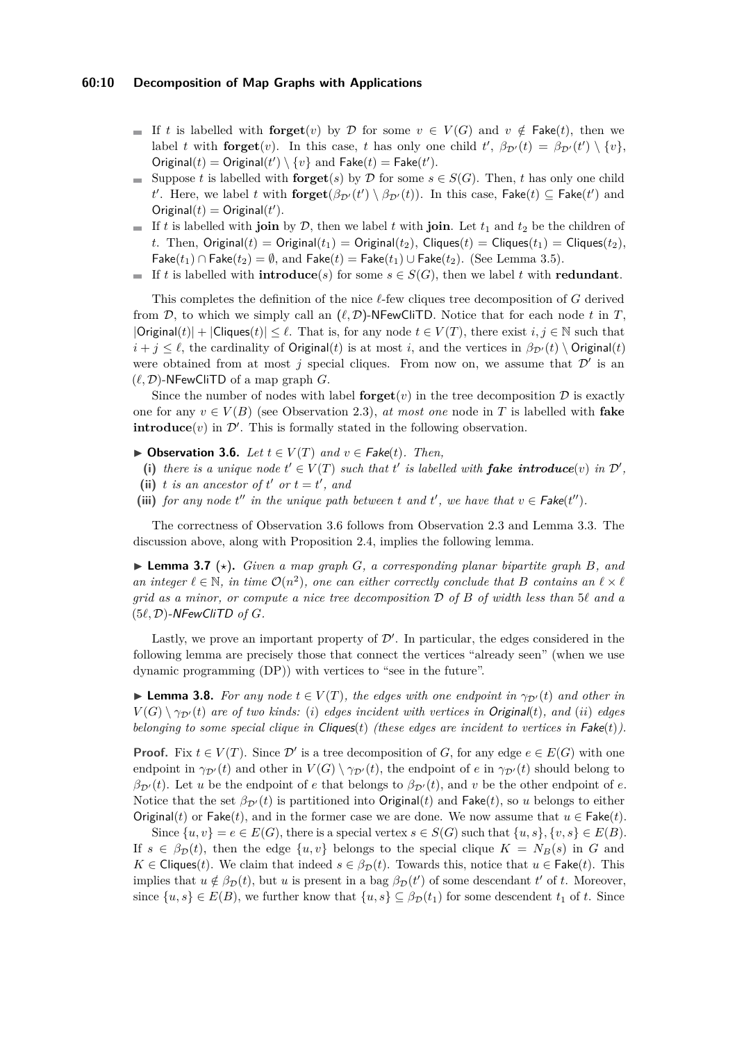#### **60:10 Decomposition of Map Graphs with Applications**

- If t is labelled with **forget** $(v)$  by D for some  $v \in V(G)$  and  $v \notin \mathsf{Fake}(t)$ , then we label *t* with **forget** $(v)$ . In this case, *t* has only one child  $t'$ ,  $\beta_{\mathcal{D}'}(t) = \beta_{\mathcal{D}'}(t') \setminus \{v\}$ , Original(*t*) = Original(*t'*) \{*v*} and Fake(*t*) = Fake(*t'*).
- Suppose *t* is labelled with **forget**(*s*) by  $\mathcal{D}$  for some *s* ∈ *S*(*G*). Then, *t* has only one child *t*<sup>*t*</sup>. Here, we label *t* with  $\textbf{forget}(\beta_{\mathcal{D}'}(t') \setminus \beta_{\mathcal{D}'}(t))$ . In this case,  $\textbf{False}(t) \subseteq \textbf{False}(t')$  and  $Original(t) = Original(t')$ .
- If *t* is labelled with **join** by D, then we label *t* with **join**. Let  $t_1$  and  $t_2$  be the children of *t*. Then,  $Original(t) = Original(t_1) = Original(t_2)$ ,  $Cliques(t) = Cliques(t_1) = Cliques(t_2)$ , Fake( $t_1$ ) ∩ Fake( $t_2$ ) =  $\emptyset$ , and Fake( $t$ ) = Fake( $t_1$ ) ∪ Fake( $t_2$ ). (See Lemma [3.5\)](#page-8-2).
- If *t* is labelled with **introduce**(*s*) for some  $s \in S(G)$ , then we label *t* with **redundant**.

This completes the definition of the nice  $\ell$ -few cliques tree decomposition of *G* derived from  $\mathcal{D}$ , to which we simply call an  $(\ell, \mathcal{D})$ -NFewCliTD. Notice that for each node t in T,  $|\text{Original}(t)| + |\text{Cliques}(t)| \leq \ell$ . That is, for any node  $t \in V(T)$ , there exist  $i, j \in \mathbb{N}$  such that  $i + j \leq \ell$ , the cardinality of Original(*t*) is at most *i*, and the vertices in  $\beta_{\mathcal{D}'}(t) \setminus$  Original(*t*) were obtained from at most  $j$  special cliques. From now on, we assume that  $\mathcal{D}'$  is an  $(\ell, \mathcal{D})$ -NFewCliTD of a map graph *G*.

Since the number of nodes with label **forget** $(v)$  in the tree decomposition  $D$  is exactly one for any  $v \in V(B)$  (see Observation [2.3\)](#page-5-0), *at most one* node in T is labelled with **fake introduce** $(v)$  in  $\mathcal{D}'$ . This is formally stated in the following observation.

- <span id="page-9-0"></span>▶ Observation 3.6. *Let*  $t \in V(T)$  *and*  $v \in$  Fake(*t*)*. Then,*
- (i) there is a unique node  $t' \in V(T)$  such that  $t'$  is labelled with **fake introduce**(*v*) in  $\mathcal{D}'$ ,
- (ii) *t is an ancestor of*  $t'$  *or*  $t = t'$ *, and*
- (iii) *for any node*  $t''$  *in the unique path between*  $t$  *and*  $t'$ *, we have that*  $v \in \text{Fake}(t'')$ *.*

The correctness of Observation [3.6](#page-9-0) follows from Observation [2.3](#page-5-0) and Lemma [3.3.](#page-7-0) The discussion above, along with Proposition [2.4,](#page-5-1) implies the following lemma.

<span id="page-9-1"></span> $\blacktriangleright$  **Lemma 3.7** ( $\star$ ). *Given a map graph G, a corresponding planar bipartite graph B, and an integer*  $\ell \in \mathbb{N}$ *, in time*  $\mathcal{O}(n^2)$ *, one can either correctly conclude that B contains an*  $\ell \times \ell$ *grid as a minor, or compute a nice tree decomposition* D *of B of width less than* 5*` and a*  $(5\ell, \mathcal{D})$ -NFewCliTD of  $G$ .

Lastly, we prove an important property of  $\mathcal{D}'$ . In particular, the edges considered in the following lemma are precisely those that connect the vertices "already seen" (when we use dynamic programming (DP)) with vertices to "see in the future".

► **Lemma 3.8.** *For any node*  $t \in V(T)$ *, the edges with one endpoint in*  $\gamma_{\mathcal{D}'}(t)$  *and other in*  $V(G) \setminus \gamma_{\mathcal{D}'}(t)$  *are of two kinds:* (*i*) *edges incident with vertices in Original(t), and (<i>ii*) *edges belonging to some special clique in* Cliques(*t*) *(these edges are incident to vertices in* Fake(*t*)*).*

**Proof.** Fix  $t \in V(T)$ . Since  $\mathcal{D}'$  is a tree decomposition of *G*, for any edge  $e \in E(G)$  with one endpoint in  $\gamma_{\mathcal{D}'}(t)$  and other in  $V(G) \setminus \gamma_{\mathcal{D}'}(t)$ , the endpoint of *e* in  $\gamma_{\mathcal{D}'}(t)$  should belong to  $\beta_{\mathcal{D}'}(t)$ . Let *u* be the endpoint of *e* that belongs to  $\beta_{\mathcal{D}'}(t)$ , and *v* be the other endpoint of *e*. Notice that the set  $\beta_{\mathcal{D}'}(t)$  is partitioned into Original(*t*) and Fake(*t*), so *u* belongs to either Original(*t*) or Fake(*t*), and in the former case we are done. We now assume that  $u \in \text{Fake}(t)$ .

Since  $\{u, v\} = e \in E(G)$ , there is a special vertex  $s \in S(G)$  such that  $\{u, s\}, \{v, s\} \in E(B)$ . If  $s \in \beta_{\mathcal{D}}(t)$ , then the edge  $\{u, v\}$  belongs to the special clique  $K = N_B(s)$  in *G* and  $K \in \text{Cliques}(t)$ . We claim that indeed  $s \in \beta_{\mathcal{D}}(t)$ . Towards this, notice that  $u \in \text{Fake}(t)$ . This implies that  $u \notin \beta_{\mathcal{D}}(t)$ , but *u* is present in a bag  $\beta_{\mathcal{D}}(t')$  of some descendant  $t'$  of  $t$ . Moreover, since  $\{u, s\} \in E(B)$ , we further know that  $\{u, s\} \subseteq \beta_{\mathcal{D}}(t_1)$  for some descendent  $t_1$  of  $t$ . Since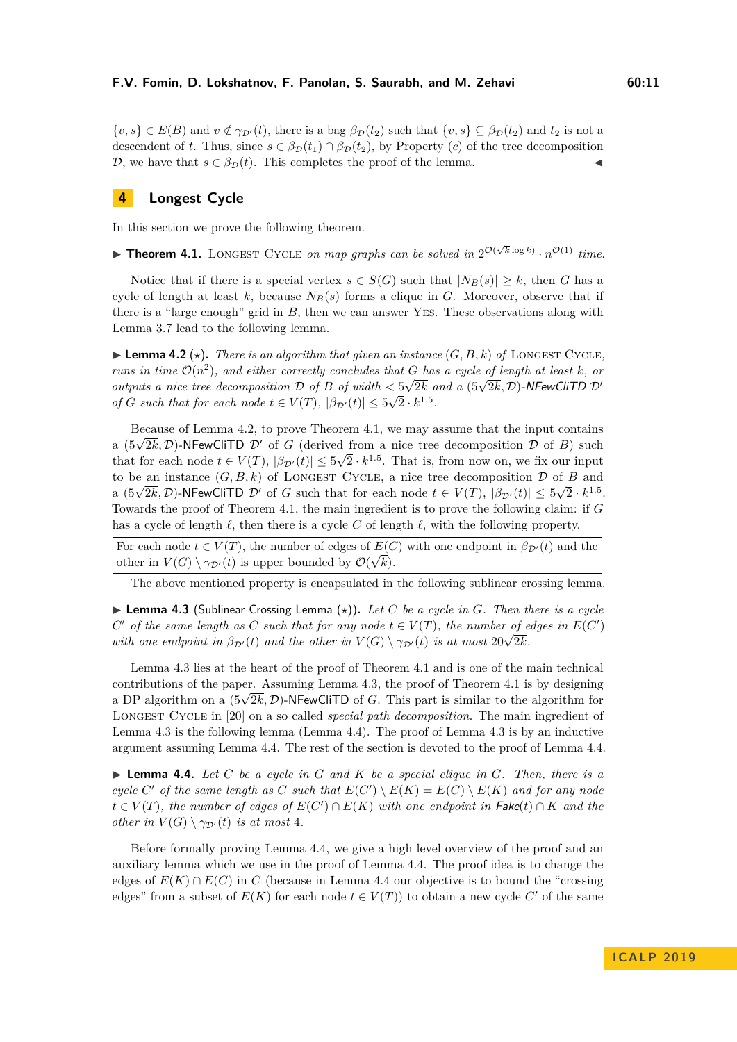$\{v, s\} \in E(B)$  and  $v \notin \gamma_{\mathcal{D}'}(t)$ , there is a bag  $\beta_{\mathcal{D}}(t_2)$  such that  $\{v, s\} \subseteq \beta_{\mathcal{D}}(t_2)$  and  $t_2$  is not a

# descendent of *t*. Thus, since  $s \in \beta_{\mathcal{D}}(t_1) \cap \beta_{\mathcal{D}}(t_2)$ , by Property (*c*) of the tree decomposition D, we have that  $s \in \beta_{\mathcal{D}}(t)$ . This completes the proof of the lemma.

# <span id="page-10-0"></span>**4 Longest Cycle**

In this section we prove the following theorem.

<span id="page-10-2"></span>**Fheorem 4.1.** LONGEST CYCLE *on map graphs can be solved in*  $2^{\mathcal{O}(\sqrt{k}\log k)} \cdot n^{\mathcal{O}(1)}$  *time.* 

Notice that if there is a special vertex  $s \in S(G)$  such that  $|N_B(s)| \geq k$ , then *G* has a cycle of length at least  $k$ , because  $N_B(s)$  forms a clique in  $G$ . Moreover, observe that if there is a "large enough" grid in *B*, then we can answer Yes. These observations along with Lemma [3.7](#page-9-1) lead to the following lemma.

<span id="page-10-1"></span>**Lemma 4.2** ( $\star$ ). There is an algorithm that given an instance  $(G, B, k)$  of LONGEST CYCLE, *runs in time*  $\mathcal{O}(n^2)$ *, and either correctly concludes that G has a cycle of length at least k, or outputs a nice tree decomposition*  $D$  *of*  $B$  *of width*  $\lt 5\sqrt{2k}$  *and a* (5 $\sqrt{2k}$ , D)-NFewCliTD  $D'$  *outputs a nice tree decomposition*  $D$  *of*  $B$  *of width*  $\lt 5\sqrt{2k}$  *and a* (5 $\sqrt{2k}$ , D)-NFewCliTD  $D'$ *of G such that for each node*  $t \in V(T)$ ,  $|\beta_{\mathcal{D}'}(t)| \leq 5\sqrt{2} \cdot k^{1.5}$ .

Because of Lemma [4.2,](#page-10-1) to prove Theorem [4.1,](#page-10-2) we may assume that the input contains because of Lemma 4.2, to prove Theorem 4.1, we may assume that the mput contains<br>a  $(5\sqrt{2k}, \mathcal{D})$ -NFewCliTD  $\mathcal{D}'$  of *G* (derived from a nice tree decomposition  $\mathcal{D}$  of *B*) such that for each node  $t \in V(T)$ ,  $|\beta_{\mathcal{D}'}(t)| \leq 5\sqrt{2} \cdot k^{1.5}$ . That is, from now on, we fix our input to be an instance  $(G, B, k)$  of LONGEST CYCLE, a nice tree decomposition  $D$  of  $B$  and a (5 $\sqrt{2k}$ , D)-NFewCliTD D' of *G* such that for each node  $t \in V(T)$ ,  $|\beta_{\mathcal{D}'}(t)| \leq 5\sqrt{2} \cdot k^{1.5}$ . Towards the proof of Theorem [4.1,](#page-10-2) the main ingredient is to prove the following claim: if *G* has a cycle of length  $\ell$ , then there is a cycle C of length  $\ell$ , with the following property.

For each node  $t \in V(T)$ , the number of edges of  $E(C)$  with one endpoint in  $\beta_{\mathcal{D}'}(t)$  and the other in  $V(G) \setminus \gamma_{\mathcal{D}'}(t)$  is upper bounded by  $\mathcal{O}(\sqrt{k})$ .

The above mentioned property is encapsulated in the following sublinear crossing lemma.

<span id="page-10-3"></span> $\triangleright$  **Lemma 4.3** (Sublinear Crossing Lemma ( $\star$ )). Let C be a cycle in G. Then there is a cycle *C*<sup> $\prime$ </sup> *of the same length as C such that for any node*  $t \in V(T)$ *, the number of edges in*  $E(C')$ *with one endpoint in*  $\beta_{\mathcal{D}'}(t)$  *and the other in*  $V(G) \setminus \gamma_{\mathcal{D}'}(t)$  *is at most*  $20\sqrt{2k}$ *.* 

Lemma [4.3](#page-10-3) lies at the heart of the proof of Theorem [4.1](#page-10-2) and is one of the main technical contributions of the paper. Assuming Lemma [4.3,](#page-10-3) the proof of Theorem [4.1](#page-10-2) is by designing contributions of the paper. Assuming Lemma 4.5, the proof of Theorem 4.1 is by designing<br>a DP algorithm on a  $(5\sqrt{2k}, \mathcal{D})$ -NFewCliTD of *G*. This part is similar to the algorithm for Longest Cycle in [\[20\]](#page-14-12) on a so called *special path decomposition*. The main ingredient of Lemma [4.3](#page-10-3) is the following lemma (Lemma [4.4\)](#page-10-4). The proof of Lemma [4.3](#page-10-3) is by an inductive argument assuming Lemma [4.4.](#page-10-4) The rest of the section is devoted to the proof of Lemma [4.4.](#page-10-4)

<span id="page-10-4"></span> $\blacktriangleright$  **Lemma 4.4.** Let C be a cycle in G and K be a special clique in G. Then, there is a *cycle*  $C'$  *of the same length as*  $C$  *such that*  $E(C') \setminus E(K) = E(C) \setminus E(K)$  *and for any node*  $t \in V(T)$ , the number of edges of  $E(C') \cap E(K)$  with one endpoint in  $Fake(t) \cap K$  and the *other in*  $V(G) \setminus \gamma_{\mathcal{D}'}(t)$  *is at most* 4*.* 

Before formally proving Lemma [4.4,](#page-10-4) we give a high level overview of the proof and an auxiliary lemma which we use in the proof of Lemma [4.4.](#page-10-4) The proof idea is to change the edges of  $E(K) \cap E(C)$  in *C* (because in Lemma [4.4](#page-10-4) our objective is to bound the "crossing" edges" from a subset of  $E(K)$  for each node  $t \in V(T)$  to obtain a new cycle  $C'$  of the same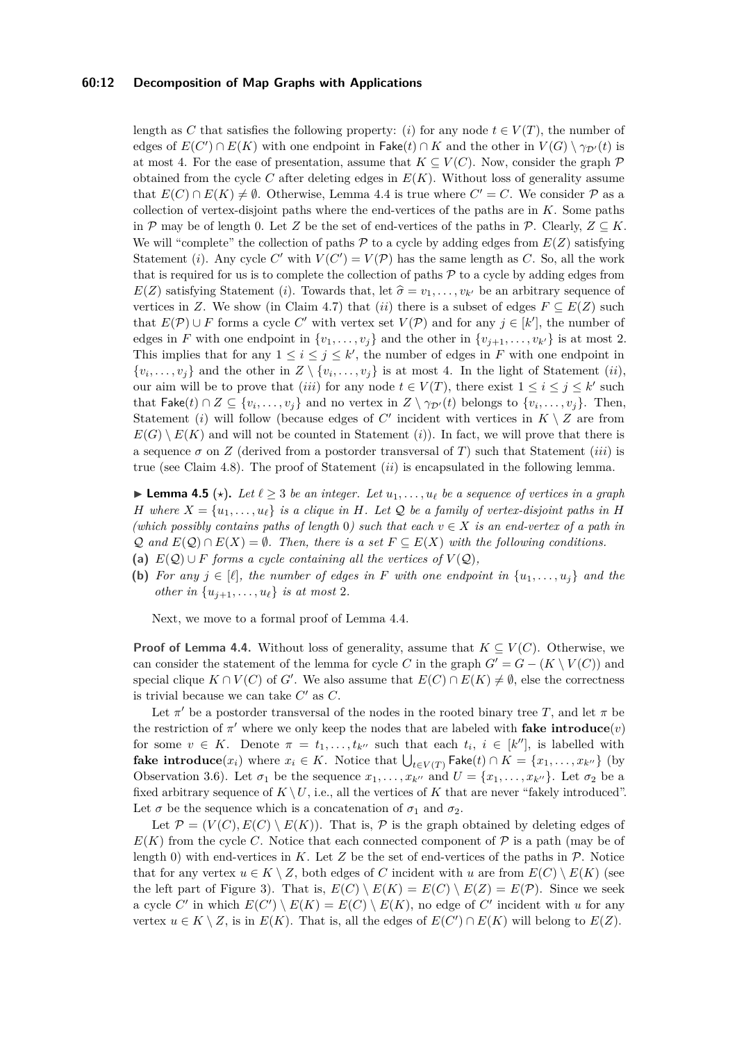### **60:12 Decomposition of Map Graphs with Applications**

length as *C* that satisfies the following property: (*i*) for any node  $t \in V(T)$ , the number of edges of  $E(C') \cap E(K)$  with one endpoint in  $\mathsf{Fake}(t) \cap K$  and the other in  $V(G) \setminus \gamma_{\mathcal{D}'}(t)$  is at most 4. For the ease of presentation, assume that  $K \subset V(C)$ . Now, consider the graph  $\mathcal P$ obtained from the cycle *C* after deleting edges in  $E(K)$ . Without loss of generality assume that  $E(C) \cap E(K) \neq \emptyset$ . Otherwise, Lemma [4.4](#page-10-4) is true where  $C' = C$ . We consider  $P$  as a collection of vertex-disjoint paths where the end-vertices of the paths are in *K*. Some paths in P may be of length 0. Let Z be the set of end-vertices of the paths in P. Clearly,  $Z \subseteq K$ . We will "complete" the collection of paths  $P$  to a cycle by adding edges from  $E(Z)$  satisfying Statement (*i*). Any cycle C' with  $V(C') = V(\mathcal{P})$  has the same length as C. So, all the work that is required for us is to complete the collection of paths  $P$  to a cycle by adding edges from  $E(Z)$  satisfying Statement (*i*). Towards that, let  $\hat{\sigma} = v_1, \ldots, v_{k'}$  be an arbitrary sequence of vertices in *Z*. We show (in Claim [4.7\)](#page-12-0) that (*ii*) there is a subset of edges  $F \subseteq E(Z)$  such that  $E(\mathcal{P}) \cup F$  forms a cycle C' with vertex set  $V(\mathcal{P})$  and for any  $j \in [k']$ , the number of edges in *F* with one endpoint in  $\{v_1, \ldots, v_i\}$  and the other in  $\{v_{i+1}, \ldots, v_{k'}\}$  is at most 2. This implies that for any  $1 \leq i \leq j \leq k'$ , the number of edges in *F* with one endpoint in  $\{v_i, \ldots, v_j\}$  and the other in  $Z \setminus \{v_i, \ldots, v_j\}$  is at most 4. In the light of Statement *(ii)*, our aim will be to prove that *(iii)* for any node  $t \in V(T)$ , there exist  $1 \le i \le j \le k'$  such that  $\mathsf{Fake}(t) \cap Z \subseteq \{v_i, \ldots, v_j\}$  and no vertex in  $Z \setminus \gamma_{\mathcal{D}'}(t)$  belongs to  $\{v_i, \ldots, v_j\}$ . Then, Statement (*i*) will follow (because edges of  $C'$  incident with vertices in  $K \setminus Z$  are from  $E(G) \setminus E(K)$  and will not be counted in Statement (*i*)). In fact, we will prove that there is a sequence  $\sigma$  on *Z* (derived from a postorder transversal of *T*) such that Statement *(iii)* is true (see Claim [4.8\)](#page-12-1). The proof of Statement (*ii*) is encapsulated in the following lemma.

<span id="page-11-0"></span>**Lemma 4.5** ( $\star$ ). Let  $\ell \geq 3$  *be an integer.* Let  $u_1, \ldots, u_\ell$  *be a sequence of vertices in a graph H* where  $X = \{u_1, \ldots, u_\ell\}$  *is a clique in H. Let*  $\mathcal Q$  *be a family of vertex-disjoint paths in H (which possibly contains paths of length* 0*)* such that each  $v \in X$  *is an end-vertex of a path in*  $\mathcal{Q}$  and  $E(\mathcal{Q}) \cap E(X) = \emptyset$ . Then, there is a set  $F \subseteq E(X)$  with the following conditions.

- (a)  $E(Q) ∪ F$  *forms a cycle containing all the vertices of*  $V(Q)$ *,*
- **(b)** For any  $j \in [\ell]$ , the number of edges in F with one endpoint in  $\{u_1, \ldots, u_j\}$  and the *other in*  $\{u_{j+1}, \ldots, u_{\ell}\}\$  *is at most* 2*.*

Next, we move to a formal proof of Lemma [4.4.](#page-10-4)

**Proof of Lemma [4.4.](#page-10-4)** Without loss of generality, assume that  $K \subseteq V(C)$ . Otherwise, we can consider the statement of the lemma for cycle *C* in the graph  $G' = G - (K \setminus V(C))$  and special clique  $K \cap V(C)$  of *G*<sup> $\prime$ </sup>. We also assume that  $E(C) \cap E(K) \neq \emptyset$ , else the correctness is trivial because we can take  $C'$  as  $C$ .

Let  $\pi'$  be a postorder transversal of the nodes in the rooted binary tree *T*, and let  $\pi$  be the restriction of  $\pi'$  where we only keep the nodes that are labeled with **fake introduce** $(v)$ for some  $v \in K$ . Denote  $\pi = t_1, \ldots, t_{k}$  such that each  $t_i, i \in [k'']$ , is labelled with **fake introduce**( $x_i$ ) where  $x_i$  ∈ *K*. Notice that  $\bigcup_{t \in V(T)}$  Fake(*t*) ∩ *K* = { $x_1, \ldots, x_{k}$ <sup>*v*</sup>} (by Observation [3.6\)](#page-9-0). Let  $\sigma_1$  be the sequence  $x_1, \ldots, x_{k''}$  and  $U = \{x_1, \ldots, x_{k''}\}\.$  Let  $\sigma_2$  be a fixed arbitrary sequence of  $K \setminus U$ , i.e., all the vertices of  $K$  that are never "fakely introduced". Let  $\sigma$  be the sequence which is a concatenation of  $\sigma_1$  and  $\sigma_2$ .

<span id="page-11-1"></span>Let  $\mathcal{P} = (V(C), E(C) \setminus E(K))$ . That is,  $\mathcal{P}$  is the graph obtained by deleting edges of  $E(K)$  from the cycle *C*. Notice that each connected component of  $P$  is a path (may be of length 0) with end-vertices in  $K$ . Let  $Z$  be the set of end-vertices of the paths in  $\mathcal{P}$ . Notice that for any vertex  $u \in K \setminus Z$ , both edges of *C* incident with *u* are from  $E(C) \setminus E(K)$  (see the left part of Figure [3\)](#page-12-2). That is,  $E(C) \setminus E(K) = E(C) \setminus E(Z) = E(\mathcal{P})$ . Since we seek a cycle *C'* in which  $E(C') \setminus E(K) = E(C) \setminus E(K)$ , no edge of *C'* incident with *u* for any vertex  $u \in K \setminus Z$ , is in  $E(K)$ . That is, all the edges of  $E(C') \cap E(K)$  will belong to  $E(Z)$ .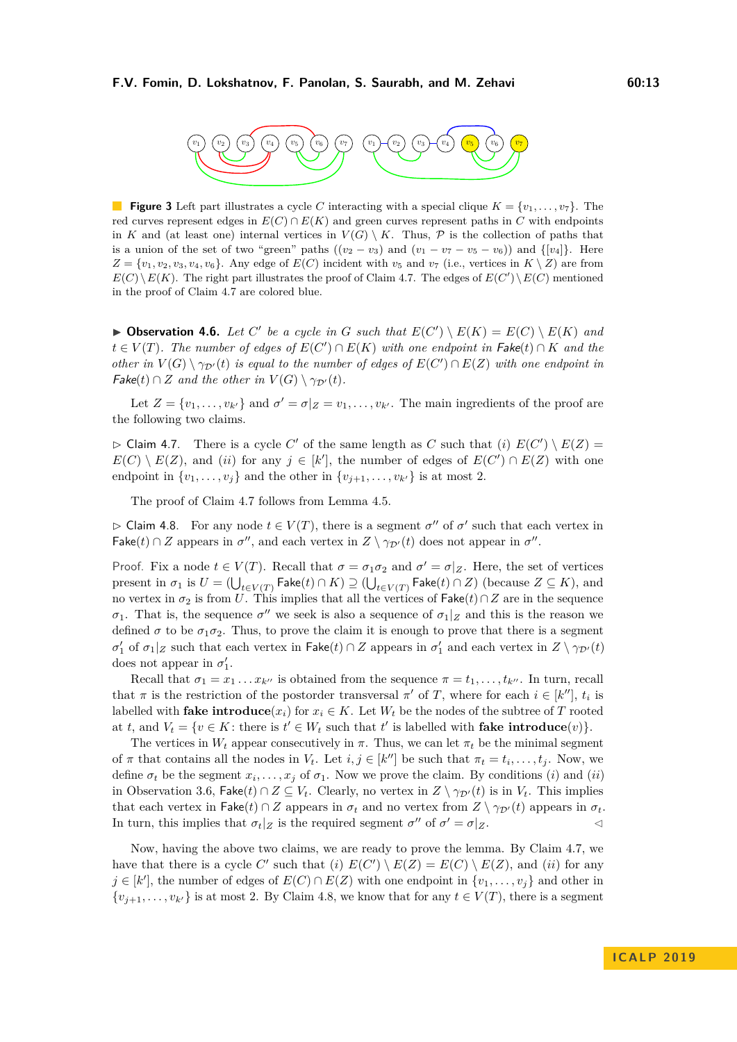<span id="page-12-2"></span>

**Figure 3** Left part illustrates a cycle *C* interacting with a special clique  $K = \{v_1, \ldots, v_7\}$ . The red curves represent edges in  $E(C) \cap E(K)$  and green curves represent paths in *C* with endpoints in *K* and (at least one) internal vertices in  $V(G) \setminus K$ . Thus,  $P$  is the collection of paths that is a union of the set of two "green" paths  $((v_2 - v_3)$  and  $(v_1 - v_7 - v_5 - v_6))$  and  $\{[v_4]\}$ . Here  $Z = \{v_1, v_2, v_3, v_4, v_6\}.$  Any edge of  $E(C)$  incident with  $v_5$  and  $v_7$  (i.e., vertices in  $K \setminus Z$ ) are from  $E(C) \setminus E(K)$ . The right part illustrates the proof of Claim [4.7.](#page-12-0) The edges of  $E(C') \setminus E(C)$  mentioned in the proof of Claim [4.7](#page-12-0) are colored blue.

 $\blacktriangleright$  **Observation 4.6.** Let C' be a cycle in G such that  $E(C') \setminus E(K) = E(C) \setminus E(K)$  and  $t \in V(T)$ . The number of edges of  $E(C') \cap E(K)$  with one endpoint in  $Fake(t) \cap K$  and the *other in*  $V(G) \setminus \gamma_{\mathcal{D}'}(t)$  *is equal to the number of edges of*  $E(C') \cap E(Z)$  *with one endpoint in*  $\mathsf{Fake}(t) \cap Z$  *and the other in*  $V(G) \setminus \gamma_{\mathcal{D}'}(t)$ *.* 

Let  $Z = \{v_1, \ldots, v_{k'}\}$  and  $\sigma' = \sigma|_Z = v_1, \ldots, v_{k'}$ . The main ingredients of the proof are the following two claims.

<span id="page-12-0"></span> $\triangleright$  Claim 4.7. There is a cycle *C'* of the same length as *C* such that (*i*)  $E(C') \setminus E(Z) =$  $E(C) \setminus E(Z)$ , and (*ii*) for any  $j \in [k']$ , the number of edges of  $E(C') \cap E(Z)$  with one endpoint in  $\{v_1, \ldots, v_j\}$  and the other in  $\{v_{j+1}, \ldots, v_{k'}\}$  is at most 2.

The proof of Claim [4.7](#page-12-0) follows from Lemma [4.5.](#page-11-0)

<span id="page-12-1"></span> $\triangleright$  Claim 4.8. For any node  $t \in V(T)$ , there is a segment  $\sigma''$  of  $\sigma'$  such that each vertex in Fake(*t*) ∩ *Z* appears in  $\sigma''$ , and each vertex in  $Z \setminus \gamma_{\mathcal{D}'}(t)$  does not appear in  $\sigma''$ .

Proof. Fix a node  $t \in V(T)$ . Recall that  $\sigma = \sigma_1 \sigma_2$  and  $\sigma' = \sigma | z$ . Here, the set of vertices  $\text{present in } \sigma_1 \text{ is } U = (\bigcup_{t \in V(T)} \mathsf{Fake}(t) \cap K) \supseteq (\bigcup_{t \in V(T)} \mathsf{Fake}(t) \cap Z) \text{ (because } Z \subseteq K) \text{, and}$ no vertex in  $\sigma_2$  is from *U*. This implies that all the vertices of Fake( $t$ )∩*Z* are in the sequence *σ*<sub>1</sub>. That is, the sequence  $\sigma''$  we seek is also a sequence of  $\sigma_1|_Z$  and this is the reason we defined  $\sigma$  to be  $\sigma_1 \sigma_2$ . Thus, to prove the claim it is enough to prove that there is a segment  $\sigma'_1$  of  $\sigma_1|_Z$  such that each vertex in Fake(*t*) ∩ *Z* appears in  $\sigma'_1$  and each vertex in  $Z \setminus \gamma_{\mathcal{D}'}(t)$ does not appear in  $\sigma'_1$ .

Recall that  $\sigma_1 = x_1 \dots x_{k}$  is obtained from the sequence  $\pi = t_1, \dots, t_{k}$ . In turn, recall that  $\pi$  is the restriction of the postorder transversal  $\pi'$  of *T*, where for each  $i \in [k'']$ ,  $t_i$  is labelled with **fake introduce** $(x_i)$  for  $x_i \in K$ . Let  $W_t$  be the nodes of the subtree of *T* rooted at *t*, and  $V_t = \{v \in K : \text{there is } t' \in W_t \text{ such that } t' \text{ is labelled with } \textbf{fake } \textbf{introduce}(v)\}.$ 

The vertices in  $W_t$  appear consecutively in  $\pi$ . Thus, we can let  $\pi_t$  be the minimal segment of  $\pi$  that contains all the nodes in  $V_t$ . Let  $i, j \in [k'']$  be such that  $\pi_t = t_i, \ldots, t_j$ . Now, we define  $\sigma_t$  be the segment  $x_i, \ldots, x_j$  of  $\sigma_1$ . Now we prove the claim. By conditions (*i*) and (*ii*) in Observation [3.6,](#page-9-0) Fake(*t*) ∩  $Z \subseteq V_t$ . Clearly, no vertex in  $Z \setminus \gamma_{\mathcal{D}'}(t)$  is in  $V_t$ . This implies that each vertex in Fake(*t*) ∩ *Z* appears in  $\sigma_t$  and no vertex from  $Z \setminus \gamma_{\mathcal{D}'}(t)$  appears in  $\sigma_t$ . In turn, this implies that  $\sigma_t|_Z$  is the required segment  $\sigma''$  of  $\sigma' = \sigma|_Z$ .

Now, having the above two claims, we are ready to prove the lemma. By Claim [4.7,](#page-12-0) we have that there is a cycle *C*' such that (*i*)  $E(C') \setminus E(Z) = E(C) \setminus E(Z)$ , and (*ii*) for any *j* ∈ [*k'*], the number of edges of  $E(C) \cap E(Z)$  with one endpoint in  $\{v_1, \ldots, v_j\}$  and other in  $\{v_{j+1}, \ldots, v_{k'}\}$  is at most 2. By Claim [4.8,](#page-12-1) we know that for any  $t \in V(T)$ , there is a segment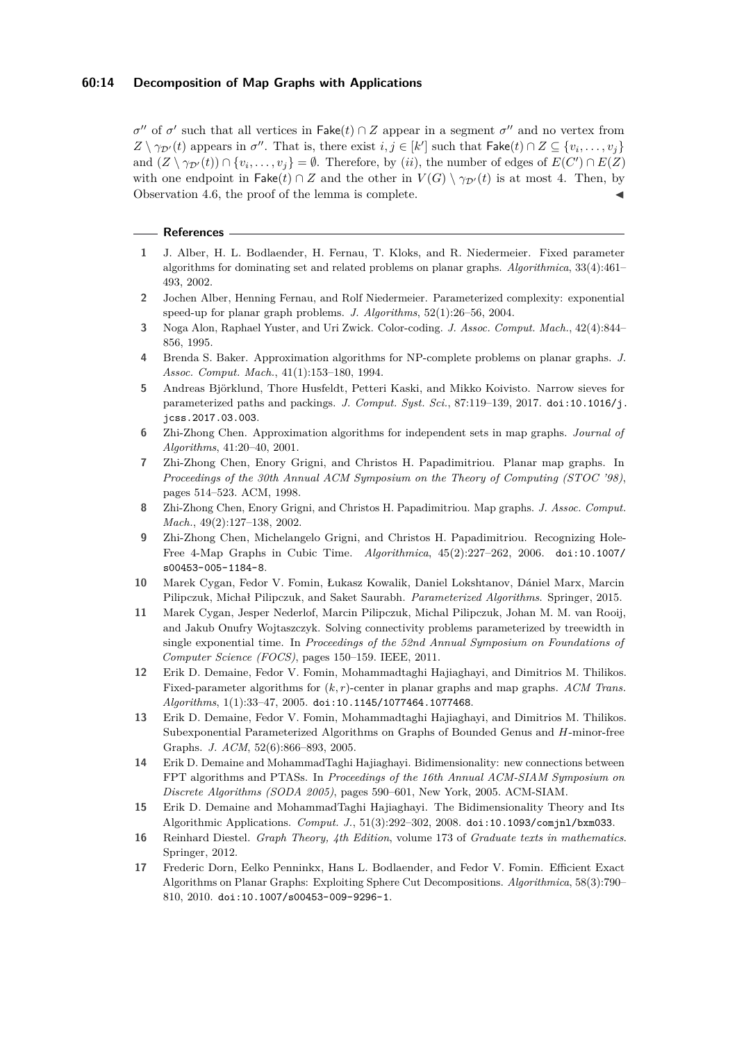### **60:14 Decomposition of Map Graphs with Applications**

*σ*<sup>*''*</sup> of *σ*<sup>*'*</sup> such that all vertices in Fake(*t*) ∩ *Z* appear in a segment *σ*<sup>*''*</sup> and no vertex from  $Z \setminus \gamma_{\mathcal{D}'}(t)$  appears in  $\sigma''$ . That is, there exist  $i, j \in [k']$  such that  $\mathsf{Fake}(t) \cap Z \subseteq \{v_i, \ldots, v_j\}$ and  $(Z \setminus \gamma_{\mathcal{D}'}(t)) \cap \{v_i, \ldots, v_j\} = \emptyset$ . Therefore, by (*ii*), the number of edges of  $E(C') \cap E(Z)$ with one endpoint in Fake( $t$ ) ∩ *Z* and the other in  $V(G) \setminus \gamma_{\mathcal{D}'}(t)$  is at most 4. Then, by Observation [4.6,](#page-11-1) the proof of the lemma is complete.

#### **References**

- <span id="page-13-6"></span>**1** J. Alber, H. L. Bodlaender, H. Fernau, T. Kloks, and R. Niedermeier. Fixed parameter algorithms for dominating set and related problems on planar graphs. *Algorithmica*, 33(4):461– 493, 2002.
- <span id="page-13-7"></span>**2** Jochen Alber, Henning Fernau, and Rolf Niedermeier. Parameterized complexity: exponential speed-up for planar graph problems. *J. Algorithms*, 52(1):26–56, 2004.
- <span id="page-13-11"></span>**3** Noga Alon, Raphael Yuster, and Uri Zwick. Color-coding. *J. Assoc. Comput. Mach.*, 42(4):844– 856, 1995.
- <span id="page-13-3"></span>**4** Brenda S. Baker. Approximation algorithms for NP-complete problems on planar graphs. *J. Assoc. Comput. Mach.*, 41(1):153–180, 1994.
- <span id="page-13-12"></span>**5** Andreas Björklund, Thore Husfeldt, Petteri Kaski, and Mikko Koivisto. Narrow sieves for parameterized paths and packings. *J. Comput. Syst. Sci.*, 87:119–139, 2017. [doi:10.1016/j.](http://dx.doi.org/10.1016/j.jcss.2017.03.003) [jcss.2017.03.003](http://dx.doi.org/10.1016/j.jcss.2017.03.003).
- <span id="page-13-8"></span>**6** Zhi-Zhong Chen. Approximation algorithms for independent sets in map graphs. *Journal of Algorithms*, 41:20–40, 2001.
- <span id="page-13-0"></span>**7** Zhi-Zhong Chen, Enory Grigni, and Christos H. Papadimitriou. Planar map graphs. In *Proceedings of the 30th Annual ACM Symposium on the Theory of Computing (STOC '98)*, pages 514–523. ACM, 1998.
- <span id="page-13-1"></span>**8** Zhi-Zhong Chen, Enory Grigni, and Christos H. Papadimitriou. Map graphs. *J. Assoc. Comput. Mach.*, 49(2):127–138, 2002.
- <span id="page-13-2"></span>**9** Zhi-Zhong Chen, Michelangelo Grigni, and Christos H. Papadimitriou. Recognizing Hole-Free 4-Map Graphs in Cubic Time. *Algorithmica*, 45(2):227–262, 2006. [doi:10.1007/](http://dx.doi.org/10.1007/s00453-005-1184-8) [s00453-005-1184-8](http://dx.doi.org/10.1007/s00453-005-1184-8).
- <span id="page-13-15"></span>**10** Marek Cygan, Fedor V. Fomin, Łukasz Kowalik, Daniel Lokshtanov, Dániel Marx, Marcin Pilipczuk, Michał Pilipczuk, and Saket Saurabh. *Parameterized Algorithms*. Springer, 2015.
- <span id="page-13-13"></span>**11** Marek Cygan, Jesper Nederlof, Marcin Pilipczuk, Michal Pilipczuk, Johan M. M. van Rooij, and Jakub Onufry Wojtaszczyk. Solving connectivity problems parameterized by treewidth in single exponential time. In *Proceedings of the 52nd Annual Symposium on Foundations of Computer Science (FOCS)*, pages 150–159. IEEE, 2011.
- <span id="page-13-9"></span>**12** Erik D. Demaine, Fedor V. Fomin, Mohammadtaghi Hajiaghayi, and Dimitrios M. Thilikos. Fixed-parameter algorithms for (*k, r*)-center in planar graphs and map graphs. *ACM Trans. Algorithms*, 1(1):33–47, 2005. [doi:10.1145/1077464.1077468](http://dx.doi.org/10.1145/1077464.1077468).
- <span id="page-13-10"></span>**13** Erik D. Demaine, Fedor V. Fomin, Mohammadtaghi Hajiaghayi, and Dimitrios M. Thilikos. Subexponential Parameterized Algorithms on Graphs of Bounded Genus and *H*-minor-free Graphs. *J. ACM*, 52(6):866–893, 2005.
- <span id="page-13-4"></span>**14** Erik D. Demaine and MohammadTaghi Hajiaghayi. Bidimensionality: new connections between FPT algorithms and PTASs. In *Proceedings of the 16th Annual ACM-SIAM Symposium on Discrete Algorithms (SODA 2005)*, pages 590–601, New York, 2005. ACM-SIAM.
- <span id="page-13-5"></span>**15** Erik D. Demaine and MohammadTaghi Hajiaghayi. The Bidimensionality Theory and Its Algorithmic Applications. *Comput. J.*, 51(3):292–302, 2008. [doi:10.1093/comjnl/bxm033](http://dx.doi.org/10.1093/comjnl/bxm033).
- <span id="page-13-16"></span>**16** Reinhard Diestel. *Graph Theory, 4th Edition*, volume 173 of *Graduate texts in mathematics*. Springer, 2012.
- <span id="page-13-14"></span>**17** Frederic Dorn, Eelko Penninkx, Hans L. Bodlaender, and Fedor V. Fomin. Efficient Exact Algorithms on Planar Graphs: Exploiting Sphere Cut Decompositions. *Algorithmica*, 58(3):790– 810, 2010. [doi:10.1007/s00453-009-9296-1](http://dx.doi.org/10.1007/s00453-009-9296-1).